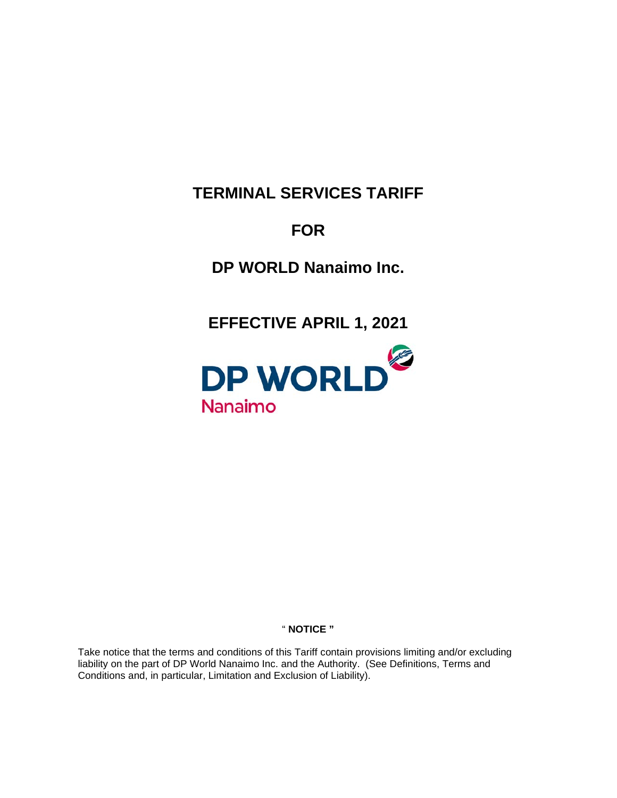# **TERMINAL SERVICES TARIFF**

# **FOR**

**DP WORLD Nanaimo Inc.**

**EFFECTIVE APRIL 1, 2021**



# " **NOTICE "**

Take notice that the terms and conditions of this Tariff contain provisions limiting and/or excluding liability on the part of DP World Nanaimo Inc. and the Authority. (See Definitions, Terms and Conditions and, in particular, Limitation and Exclusion of Liability).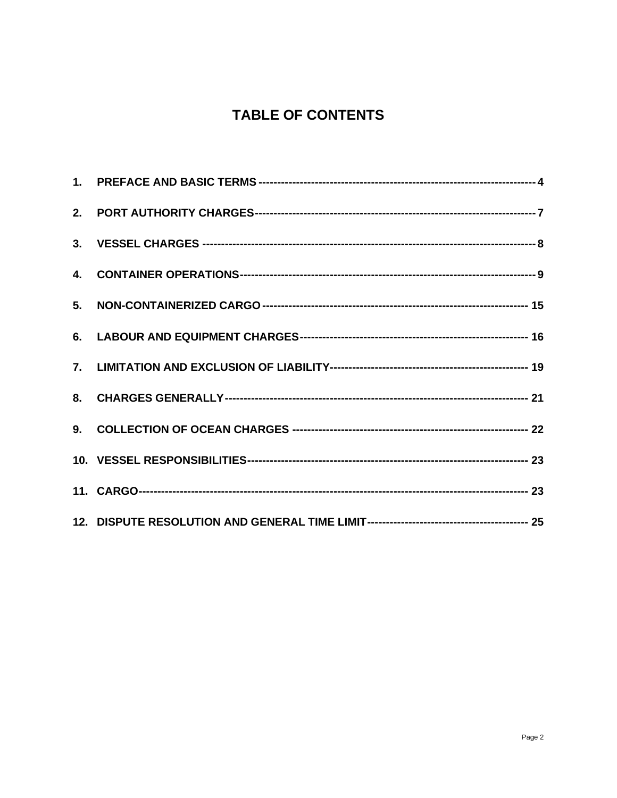# **TABLE OF CONTENTS**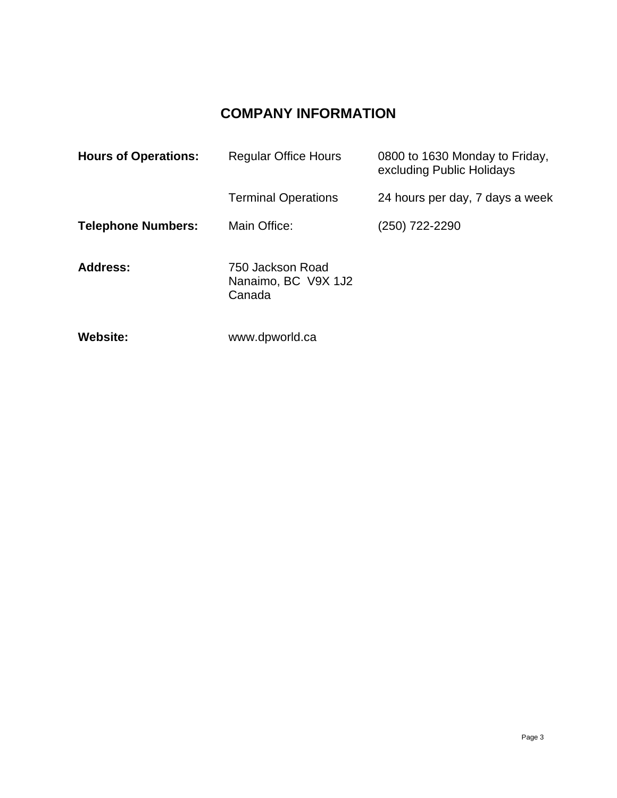# **COMPANY INFORMATION**

| <b>Hours of Operations:</b> | <b>Regular Office Hours</b>                       | 0800 to 1630 Monday to Friday,<br>excluding Public Holidays |
|-----------------------------|---------------------------------------------------|-------------------------------------------------------------|
|                             | <b>Terminal Operations</b>                        | 24 hours per day, 7 days a week                             |
| <b>Telephone Numbers:</b>   | Main Office:                                      | (250) 722-2290                                              |
| <b>Address:</b>             | 750 Jackson Road<br>Nanaimo, BC V9X 1J2<br>Canada |                                                             |
| <b>Website:</b>             | www.dpworld.ca                                    |                                                             |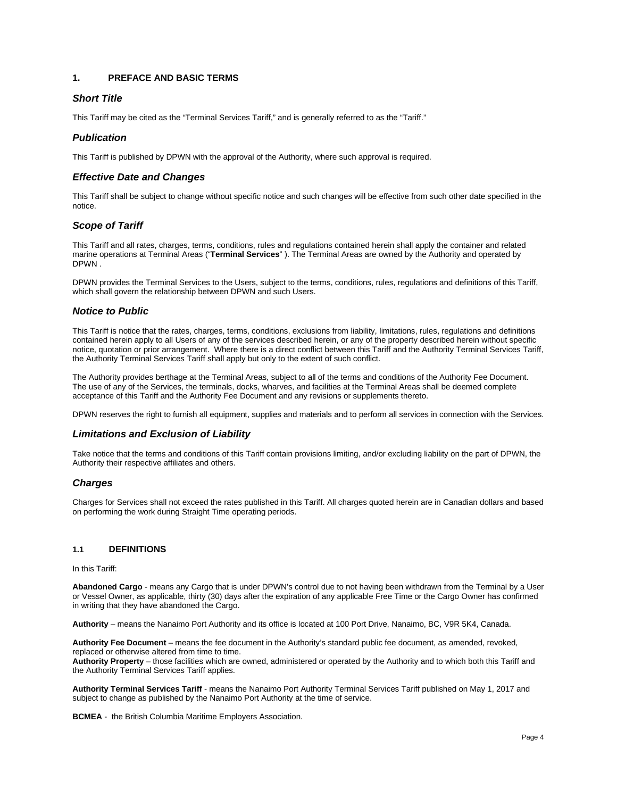# <span id="page-3-0"></span>**1. PREFACE AND BASIC TERMS**

# *Short Title*

This Tariff may be cited as the "Terminal Services Tariff," and is generally referred to as the "Tariff."

# *Publication*

This Tariff is published by DPWN with the approval of the Authority, where such approval is required.

# *Effective Date and Changes*

This Tariff shall be subject to change without specific notice and such changes will be effective from such other date specified in the notice.

# *Scope of Tariff*

This Tariff and all rates, charges, terms, conditions, rules and regulations contained herein shall apply the container and related marine operations at Terminal Areas ("**Terminal Services**" ). The Terminal Areas are owned by the Authority and operated by DPWN .

DPWN provides the Terminal Services to the Users, subject to the terms, conditions, rules, regulations and definitions of this Tariff, which shall govern the relationship between DPWN and such Users.

# *Notice to Public*

This Tariff is notice that the rates, charges, terms, conditions, exclusions from liability, limitations, rules, regulations and definitions contained herein apply to all Users of any of the services described herein, or any of the property described herein without specific notice, quotation or prior arrangement. Where there is a direct conflict between this Tariff and the Authority Terminal Services Tariff, the Authority Terminal Services Tariff shall apply but only to the extent of such conflict.

The Authority provides berthage at the Terminal Areas, subject to all of the terms and conditions of the Authority Fee Document. The use of any of the Services, the terminals, docks, wharves, and facilities at the Terminal Areas shall be deemed complete acceptance of this Tariff and the Authority Fee Document and any revisions or supplements thereto.

DPWN reserves the right to furnish all equipment, supplies and materials and to perform all services in connection with the Services.

# *Limitations and Exclusion of Liability*

Take notice that the terms and conditions of this Tariff contain provisions limiting, and/or excluding liability on the part of DPWN, the Authority their respective affiliates and others.

# *Charges*

Charges for Services shall not exceed the rates published in this Tariff. All charges quoted herein are in Canadian dollars and based on performing the work during Straight Time operating periods.

# **1.1 DEFINITIONS**

In this Tariff:

**Abandoned Cargo** - means any Cargo that is under DPWN's control due to not having been withdrawn from the Terminal by a User or Vessel Owner, as applicable, thirty (30) days after the expiration of any applicable Free Time or the Cargo Owner has confirmed in writing that they have abandoned the Cargo.

**Authority** – means the Nanaimo Port Authority and its office is located at 100 Port Drive, Nanaimo, BC, V9R 5K4, Canada.

**Authority Fee Document** – means the fee document in the Authority's standard public fee document, as amended, revoked, replaced or otherwise altered from time to time.

**Authority Property** – those facilities which are owned, administered or operated by the Authority and to which both this Tariff and the Authority Terminal Services Tariff applies.

**Authority Terminal Services Tariff** - means the Nanaimo Port Authority Terminal Services Tariff published on May 1, 2017 and subject to change as published by the Nanaimo Port Authority at the time of service.

**BCMEA** - the British Columbia Maritime Employers Association.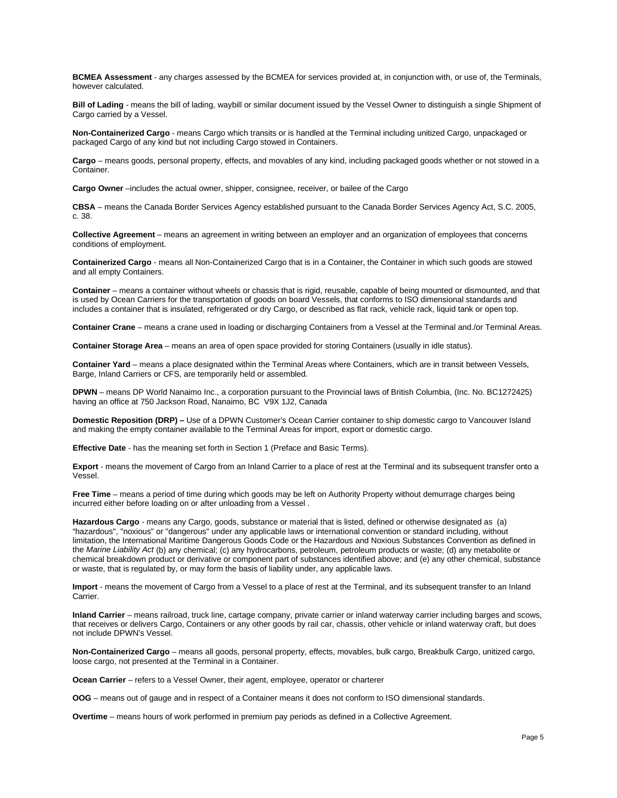**BCMEA Assessment** - any charges assessed by the BCMEA for services provided at, in conjunction with, or use of, the Terminals, however calculated.

**Bill of Lading** - means the bill of lading, waybill or similar document issued by the Vessel Owner to distinguish a single Shipment of Cargo carried by a Vessel.

**Non-Containerized Cargo** - means Cargo which transits or is handled at the Terminal including unitized Cargo, unpackaged or packaged Cargo of any kind but not including Cargo stowed in Containers.

**Cargo** – means goods, personal property, effects, and movables of any kind, including packaged goods whether or not stowed in a Container.

**Cargo Owner** –includes the actual owner, shipper, consignee, receiver, or bailee of the Cargo

**CBSA** – means the Canada Border Services Agency established pursuant to the Canada Border Services Agency Act, S.C. 2005, c. 38.

**Collective Agreement** – means an agreement in writing between an employer and an organization of employees that concerns conditions of employment.

**Containerized Cargo** - means all Non-Containerized Cargo that is in a Container, the Container in which such goods are stowed and all empty Containers.

**Container** – means a container without wheels or chassis that is rigid, reusable, capable of being mounted or dismounted, and that is used by Ocean Carriers for the transportation of goods on board Vessels, that conforms to ISO dimensional standards and includes a container that is insulated, refrigerated or dry Cargo, or described as flat rack, vehicle rack, liquid tank or open top.

**Container Crane** – means a crane used in loading or discharging Containers from a Vessel at the Terminal and./or Terminal Areas.

**Container Storage Area** – means an area of open space provided for storing Containers (usually in idle status).

**Container Yard** – means a place designated within the Terminal Areas where Containers, which are in transit between Vessels, Barge, Inland Carriers or CFS, are temporarily held or assembled.

**DPWN** – means DP World Nanaimo Inc., a corporation pursuant to the Provincial laws of British Columbia, (Inc. No. BC1272425) having an office at 750 Jackson Road, Nanaimo, BC V9X 1J2, Canada

**Domestic Reposition (DRP) –** Use of a DPWN Customer's Ocean Carrier container to ship domestic cargo to Vancouver Island and making the empty container available to the Terminal Areas for import, export or domestic cargo.

**Effective Date** - has the meaning set forth in Section 1 (Preface and Basic Terms).

**Export** - means the movement of Cargo from an Inland Carrier to a place of rest at the Terminal and its subsequent transfer onto a Vessel.

**Free Time** – means a period of time during which goods may be left on Authority Property without demurrage charges being incurred either before loading on or after unloading from a Vessel .

**Hazardous Cargo** - means any Cargo, goods, substance or material that is listed, defined or otherwise designated as (a) "hazardous", "noxious" or "dangerous" under any applicable laws or international convention or standard including, without limitation, the International Maritime Dangerous Goods Code or the Hazardous and Noxious Substances Convention as defined in the *Marine Liability Act* (b) any chemical; (c) any hydrocarbons, petroleum, petroleum products or waste; (d) any metabolite or chemical breakdown product or derivative or component part of substances identified above; and (e) any other chemical, substance or waste, that is regulated by, or may form the basis of liability under, any applicable laws.

**Import** - means the movement of Cargo from a Vessel to a place of rest at the Terminal, and its subsequent transfer to an Inland Carrier.

**Inland Carrier** – means railroad, truck line, cartage company, private carrier or inland waterway carrier including barges and scows, that receives or delivers Cargo, Containers or any other goods by rail car, chassis, other vehicle or inland waterway craft, but does not include DPWN's Vessel.

**Non-Containerized Cargo** – means all goods, personal property, effects, movables, bulk cargo, Breakbulk Cargo, unitized cargo, loose cargo, not presented at the Terminal in a Container.

**Ocean Carrier** – refers to a Vessel Owner, their agent, employee, operator or charterer

**OOG** – means out of gauge and in respect of a Container means it does not conform to ISO dimensional standards.

**Overtime** – means hours of work performed in premium pay periods as defined in a Collective Agreement.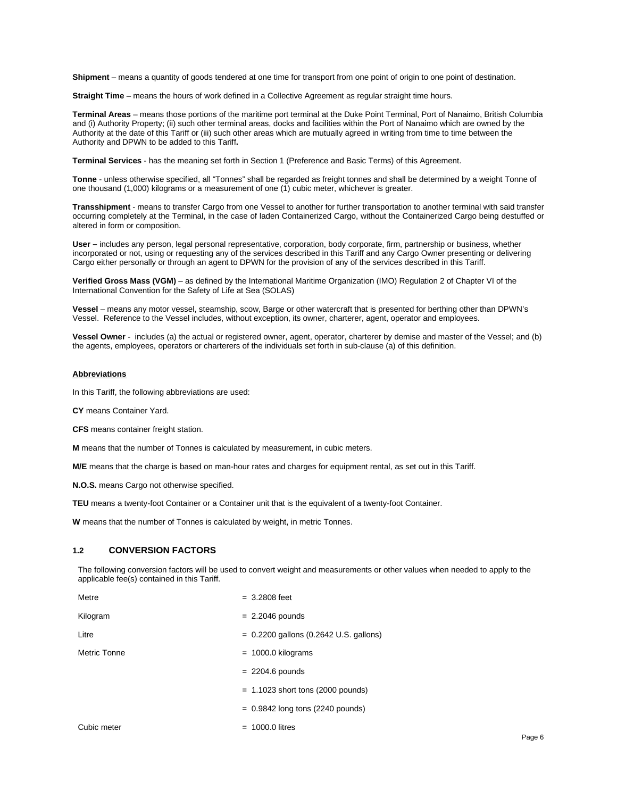**Shipment** – means a quantity of goods tendered at one time for transport from one point of origin to one point of destination.

**Straight Time** – means the hours of work defined in a Collective Agreement as regular straight time hours.

**Terminal Areas** – means those portions of the maritime port terminal at the Duke Point Terminal, Port of Nanaimo, British Columbia and (i) Authority Property; (ii) such other terminal areas, docks and facilities within the Port of Nanaimo which are owned by the Authority at the date of this Tariff or (iii) such other areas which are mutually agreed in writing from time to time between the Authority and DPWN to be added to this Tariff**.**

**Terminal Services** - has the meaning set forth in Section 1 (Preference and Basic Terms) of this Agreement.

**Tonne** - unless otherwise specified, all "Tonnes" shall be regarded as freight tonnes and shall be determined by a weight Tonne of one thousand (1,000) kilograms or a measurement of one (1) cubic meter, whichever is greater.

**Transshipment** - means to transfer Cargo from one Vessel to another for further transportation to another terminal with said transfer occurring completely at the Terminal, in the case of laden Containerized Cargo, without the Containerized Cargo being destuffed or altered in form or composition.

**User –** includes any person, legal personal representative, corporation, body corporate, firm, partnership or business, whether incorporated or not, using or requesting any of the services described in this Tariff and any Cargo Owner presenting or delivering Cargo either personally or through an agent to DPWN for the provision of any of the services described in this Tariff.

**Verified Gross Mass (VGM)** – as defined by the International Maritime Organization (IMO) Regulation 2 of Chapter VI of the International Convention for the Safety of Life at Sea (SOLAS)

**Vessel** – means any motor vessel, steamship, scow, Barge or other watercraft that is presented for berthing other than DPWN's Vessel. Reference to the Vessel includes, without exception, its owner, charterer, agent, operator and employees.

**Vessel Owner** - includes (a) the actual or registered owner, agent, operator, charterer by demise and master of the Vessel; and (b) the agents, employees, operators or charterers of the individuals set forth in sub-clause (a) of this definition.

#### **Abbreviations**

In this Tariff, the following abbreviations are used:

**CY** means Container Yard.

**CFS** means container freight station.

**M** means that the number of Tonnes is calculated by measurement, in cubic meters.

**M/E** means that the charge is based on man-hour rates and charges for equipment rental, as set out in this Tariff.

**N.O.S.** means Cargo not otherwise specified.

**TEU** means a twenty-foot Container or a Container unit that is the equivalent of a twenty-foot Container.

**W** means that the number of Tonnes is calculated by weight, in metric Tonnes.

#### **1.2 CONVERSION FACTORS**

The following conversion factors will be used to convert weight and measurements or other values when needed to apply to the applicable fee(s) contained in this Tariff.

| Metre        | $= 3.2808$ feet                          |
|--------------|------------------------------------------|
| Kilogram     | $= 2.2046$ pounds                        |
| Litre        | $= 0.2200$ gallons (0.2642 U.S. gallons) |
| Metric Tonne | $= 1000.0$ kilograms                     |
|              | $= 2204.6$ pounds                        |
|              | $= 1.1023$ short tons (2000 pounds)      |
|              | $= 0.9842$ long tons (2240 pounds)       |
| Cubic meter  | $= 1000.0$ litres                        |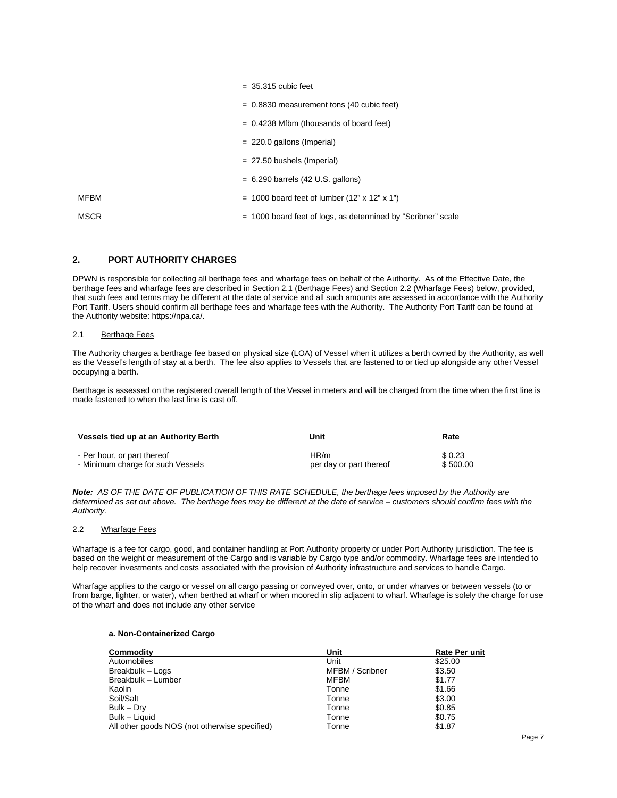|             | $=$ 35.315 cubic feet                                        |
|-------------|--------------------------------------------------------------|
|             | $= 0.8830$ measurement tons (40 cubic feet)                  |
|             | $= 0.4238$ Mfbm (thousands of board feet)                    |
|             | $= 220.0$ gallons (Imperial)                                 |
|             | $= 27.50$ bushels (Imperial)                                 |
|             | $= 6.290$ barrels (42 U.S. gallons)                          |
| MFBM        | $= 1000$ board feet of lumber (12" x 12" x 1")               |
| <b>MSCR</b> | = 1000 board feet of logs, as determined by "Scribner" scale |

# <span id="page-6-0"></span>**2. PORT AUTHORITY CHARGES**

DPWN is responsible for collecting all berthage fees and wharfage fees on behalf of the Authority. As of the Effective Date, the berthage fees and wharfage fees are described in Section 2.1 (Berthage Fees) and Section 2.2 (Wharfage Fees) below, provided, that such fees and terms may be different at the date of service and all such amounts are assessed in accordance with the Authority Port Tariff. Users should confirm all berthage fees and wharfage fees with the Authority. The Authority Port Tariff can be found at the Authority website: https://npa.ca/.

#### 2.1 Berthage Fees

The Authority charges a berthage fee based on physical size (LOA) of Vessel when it utilizes a berth owned by the Authority, as well as the Vessel's length of stay at a berth. The fee also applies to Vessels that are fastened to or tied up alongside any other Vessel occupying a berth.

Berthage is assessed on the registered overall length of the Vessel in meters and will be charged from the time when the first line is made fastened to when the last line is cast off.

| Vessels tied up at an Authority Berth | Unit                    | Rate     |
|---------------------------------------|-------------------------|----------|
| - Per hour, or part thereof           | HR/m                    | \$0.23   |
| - Minimum charge for such Vessels     | per day or part thereof | \$500.00 |

*Note: AS OF THE DATE OF PUBLICATION OF THIS RATE SCHEDULE, the berthage fees imposed by the Authority are determined as set out above. The berthage fees may be different at the date of service – customers should confirm fees with the Authority.*

# 2.2 Wharfage Fees

Wharfage is a fee for cargo, good, and container handling at Port Authority property or under Port Authority jurisdiction. The fee is based on the weight or measurement of the Cargo and is variable by Cargo type and/or commodity. Wharfage fees are intended to help recover investments and costs associated with the provision of Authority infrastructure and services to handle Cargo.

Wharfage applies to the cargo or vessel on all cargo passing or conveyed over, onto, or under wharves or between vessels (to or from barge, lighter, or water), when berthed at wharf or when moored in slip adjacent to wharf. Wharfage is solely the charge for use of the wharf and does not include any other service

# **a. Non-Containerized Cargo**

| Commodity                                     | Unit            | <b>Rate Per unit</b> |
|-----------------------------------------------|-----------------|----------------------|
| Automobiles                                   | Unit            | \$25.00              |
| Breakbulk - Logs                              | MFBM / Scribner | \$3.50               |
| Breakbulk - Lumber                            | <b>MFBM</b>     | \$1.77               |
| Kaolin                                        | Tonne           | \$1.66               |
| Soil/Salt                                     | Tonne           | \$3.00               |
| Bulk – Dry                                    | Tonne           | \$0.85               |
| Bulk - Liquid                                 | Tonne           | \$0.75               |
| All other goods NOS (not otherwise specified) | Tonne           | \$1.87               |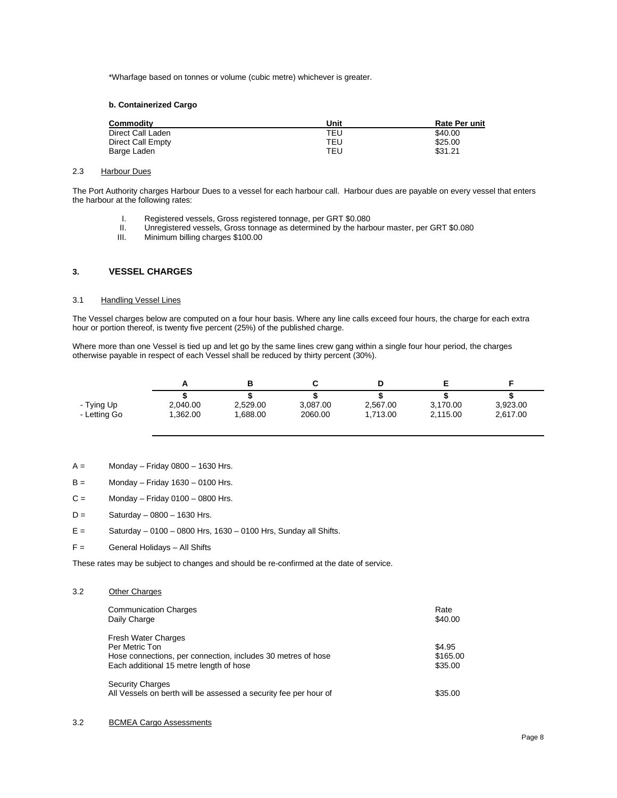\*Wharfage based on tonnes or volume (cubic metre) whichever is greater.

### **b. Containerized Cargo**

| Commodity         | Unit | <b>Rate Per unit</b> |
|-------------------|------|----------------------|
| Direct Call Laden | TEU. | \$40.00              |
| Direct Call Empty | TEU  | \$25.00              |
| Barge Laden       | TEU  | \$31.21              |

#### 2.3 Harbour Dues

The Port Authority charges Harbour Dues to a vessel for each harbour call. Harbour dues are payable on every vessel that enters the harbour at the following rates:

- I. Registered vessels, Gross registered tonnage, per GRT \$0.080<br>II. Unregistered vessels, Gross tonnage as determined by the harb
- II. Unregistered vessels, Gross tonnage as determined by the harbour master, per GRT \$0.080<br>III. Minimum billing charges \$100.00
- Minimum billing charges \$100.00

# <span id="page-7-0"></span>**3. VESSEL CHARGES**

#### 3.1 Handling Vessel Lines

The Vessel charges below are computed on a four hour basis. Where any line calls exceed four hours, the charge for each extra hour or portion thereof, is twenty five percent (25%) of the published charge.

Where more than one Vessel is tied up and let go by the same lines crew gang within a single four hour period, the charges otherwise payable in respect of each Vessel shall be reduced by thirty percent (30%).

| - Tying Up   | 2.040.00 | 2.529.00 | 3.087.00 | 2.567.00 | 3.170.00 | 3,923.00 |
|--------------|----------|----------|----------|----------|----------|----------|
| - Letting Go | .362.00  | .688.00  | 2060.00  | 1.713.00 | 2,115.00 | 2.617.00 |

- $A =$  Monday Friday 0800 1630 Hrs.
- $B =$  Monday Friday 1630 0100 Hrs.
- $C =$  Monday Friday 0100 0800 Hrs.
- $D =$  Saturday 0800 1630 Hrs.
- $E =$  Saturday 0100 0800 Hrs, 1630 0100 Hrs, Sunday all Shifts.
- F = General Holidays All Shifts

These rates may be subject to changes and should be re-confirmed at the date of service.

# 3.2 Other Charges

| <b>Communication Charges</b><br>Daily Charge                                                                                                            | Rate<br>\$40.00               |
|---------------------------------------------------------------------------------------------------------------------------------------------------------|-------------------------------|
| <b>Fresh Water Charges</b><br>Per Metric Ton<br>Hose connections, per connection, includes 30 metres of hose<br>Each additional 15 metre length of hose | \$4.95<br>\$165.00<br>\$35.00 |
| <b>Security Charges</b><br>All Vessels on berth will be assessed a security fee per hour of                                                             | \$35.00                       |

### 3.2 BCMEA Cargo Assessments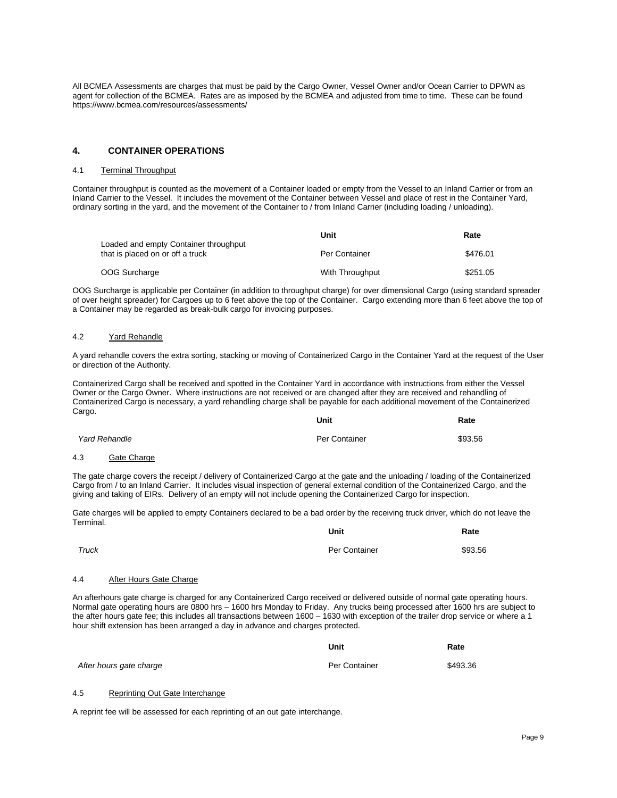All BCMEA Assessments are charges that must be paid by the Cargo Owner, Vessel Owner and/or Ocean Carrier to DPWN as agent for collection of the BCMEA. Rates are as imposed by the BCMEA and adjusted from time to time. These can be found <https://www.bcmea.com/resources/assessments/>

# <span id="page-8-0"></span>**4. CONTAINER OPERATIONS**

#### 4.1 Terminal Throughput

Container throughput is counted as the movement of a Container loaded or empty from the Vessel to an Inland Carrier or from an Inland Carrier to the Vessel. It includes the movement of the Container between Vessel and place of rest in the Container Yard, ordinary sorting in the yard, and the movement of the Container to / from Inland Carrier (including loading / unloading).

|                                                                           | Unit            | Rate     |
|---------------------------------------------------------------------------|-----------------|----------|
| Loaded and empty Container throughput<br>that is placed on or off a truck | Per Container   | \$476.01 |
| OOG Surcharge                                                             | With Throughput | \$251.05 |

OOG Surcharge is applicable per Container (in addition to throughput charge) for over dimensional Cargo (using standard spreader of over height spreader) for Cargoes up to 6 feet above the top of the Container. Cargo extending more than 6 feet above the top of a Container may be regarded as break-bulk cargo for invoicing purposes.

#### 4.2 Yard Rehandle

A yard rehandle covers the extra sorting, stacking or moving of Containerized Cargo in the Container Yard at the request of the User or direction of the Authority.

Containerized Cargo shall be received and spotted in the Container Yard in accordance with instructions from either the Vessel Owner or the Cargo Owner. Where instructions are not received or are changed after they are received and rehandling of Containerized Cargo is necessary, a yard rehandling charge shall be payable for each additional movement of the Containerized Cargo. **Unit Rate**

| <b>Yard Rehandle</b> | Per Container | \$93.56 |
|----------------------|---------------|---------|
|                      |               |         |

# 4.3 Gate Charge

The gate charge covers the receipt / delivery of Containerized Cargo at the gate and the unloading / loading of the Containerized Cargo from / to an Inland Carrier. It includes visual inspection of general external condition of the Containerized Cargo, and the giving and taking of EIRs. Delivery of an empty will not include opening the Containerized Cargo for inspection.

Gate charges will be applied to empty Containers declared to be a bad order by the receiving truck driver, which do not leave the Terminal. **Unit Rate**

|       | Unit          | Rate    |
|-------|---------------|---------|
| Truck | Per Container | \$93.56 |

# 4.4 After Hours Gate Charge

An afterhours gate charge is charged for any Containerized Cargo received or delivered outside of normal gate operating hours. Normal gate operating hours are 0800 hrs – 1600 hrs Monday to Friday. Any trucks being processed after 1600 hrs are subject to the after hours gate fee; this includes all transactions between 1600 – 1630 with exception of the trailer drop service or where a 1 hour shift extension has been arranged a day in advance and charges protected.

|                         | Unit          | Rate     |
|-------------------------|---------------|----------|
| After hours gate charge | Per Container | \$493.36 |

# 4.5 Reprinting Out Gate Interchange

A reprint fee will be assessed for each reprinting of an out gate interchange.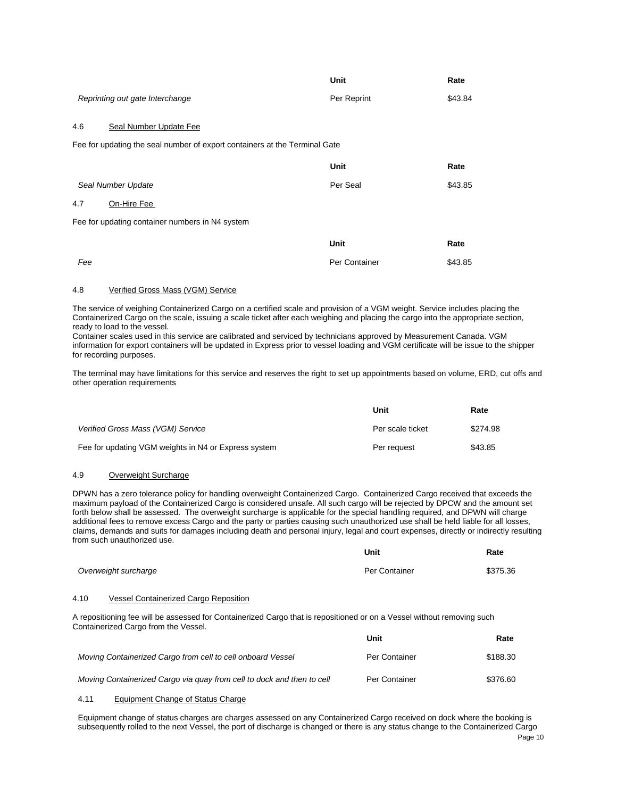|                                                                            | Unit          | Rate    |
|----------------------------------------------------------------------------|---------------|---------|
| Reprinting out gate Interchange                                            | Per Reprint   | \$43.84 |
| 4.6<br>Seal Number Update Fee                                              |               |         |
| Fee for updating the seal number of export containers at the Terminal Gate |               |         |
|                                                                            | Unit          | Rate    |
| Seal Number Update                                                         | Per Seal      | \$43.85 |
| 4.7<br>On-Hire Fee                                                         |               |         |
| Fee for updating container numbers in N4 system                            |               |         |
|                                                                            | Unit          | Rate    |
| Fee                                                                        | Per Container | \$43.85 |

# 4.8 Verified Gross Mass (VGM) Service

The service of weighing Containerized Cargo on a certified scale and provision of a VGM weight. Service includes placing the Containerized Cargo on the scale, issuing a scale ticket after each weighing and placing the cargo into the appropriate section, ready to load to the vessel.

Container scales used in this service are calibrated and serviced by technicians approved by Measurement Canada. VGM information for export containers will be updated in Express prior to vessel loading and VGM certificate will be issue to the shipper for recording purposes.

The terminal may have limitations for this service and reserves the right to set up appointments based on volume, ERD, cut offs and other operation requirements

|                                                      | Unit             | Rate     |
|------------------------------------------------------|------------------|----------|
| Verified Gross Mass (VGM) Service                    | Per scale ticket | \$274.98 |
| Fee for updating VGM weights in N4 or Express system | Per request      | \$43.85  |

## 4.9 Overweight Surcharge

DPWN has a zero tolerance policy for handling overweight Containerized Cargo. Containerized Cargo received that exceeds the maximum payload of the Containerized Cargo is considered unsafe. All such cargo will be rejected by DPCW and the amount set forth below shall be assessed. The overweight surcharge is applicable for the special handling required, and DPWN will charge additional fees to remove excess Cargo and the party or parties causing such unauthorized use shall be held liable for all losses, claims, demands and suits for damages including death and personal injury, legal and court expenses, directly or indirectly resulting from such unauthorized use.

|                      | Unit          | Rate     |
|----------------------|---------------|----------|
| Overweight surcharge | Per Container | \$375.36 |

# 4.10 Vessel Containerized Cargo Reposition

A repositioning fee will be assessed for Containerized Cargo that is repositioned or on a Vessel without removing such Containerized Cargo from the Vessel.

|                                                                        | Unit                 | Rate     |
|------------------------------------------------------------------------|----------------------|----------|
| Moving Containerized Cargo from cell to cell onboard Vessel            | <b>Per Container</b> | \$188.30 |
| Moving Containerized Cargo via guay from cell to dock and then to cell | Per Container        | \$376.60 |

#### 4.11 Equipment Change of Status Charge

Equipment change of status charges are charges assessed on any Containerized Cargo received on dock where the booking is subsequently rolled to the next Vessel, the port of discharge is changed or there is any status change to the Containerized Cargo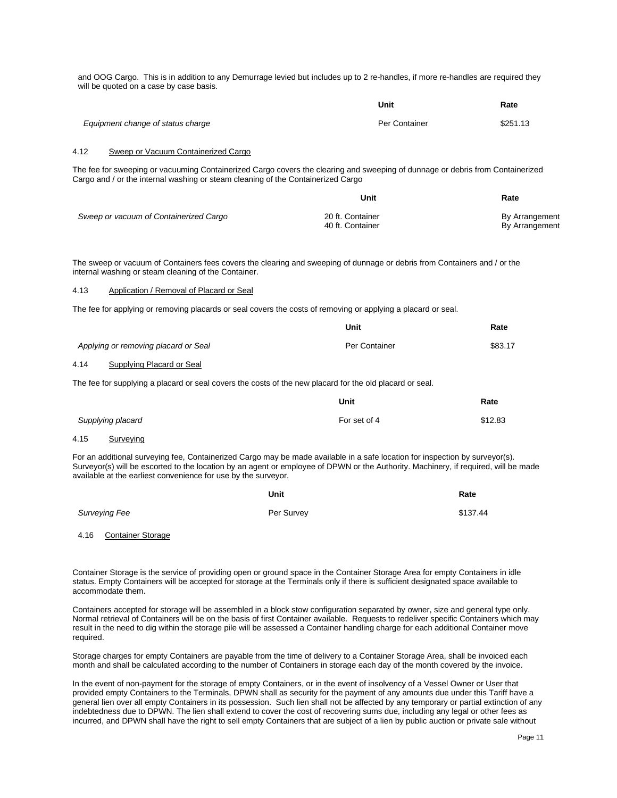4.12 Sweep or Vacuum Containerized Cargo The fee for sweeping or vacuuming Containerized Cargo covers the clearing and sweeping of dunnage or debris from Containerized Cargo and / or the internal washing or steam cleaning of the Containerized Cargo *Sweep or vacuum of Containerized Cargo* **Unit** 20 ft. Container<br>40 ft. Container **Rate** By Arrangement By Arrangement The sweep or vacuum of Containers fees covers the clearing and sweeping of dunnage or debris from Containers and / or the internal washing or steam cleaning of the Container. 4.13 Application / Removal of Placard or Seal The fee for applying or removing placards or seal covers the costs of removing or applying a placard or seal. *Applying or removing placard or Seal* **Unit** Per Container **Rate** \$83.17 4.14 Supplying Placard or Seal The fee for supplying a placard or seal covers the costs of the new placard for the old placard or seal. *Supplying placard* **Unit** For set of 4 **Rate** \$12.83 4.15 Surveying For an additional surveying fee, Containerized Cargo may be made available in a safe location for inspection by surveyor(s). Surveyor(s) will be escorted to the location by an agent or employee of DPWN or the Authority. Machinery, if required, will be made available at the earliest convenience for use by the surveyor. *Surveying Fee*  **Unit** Per Survey **Rate** \$137.44 4.16 Container Storage Container Storage is the service of providing open or ground space in the Container Storage Area for empty Containers in idle status. Empty Containers will be accepted for storage at the Terminals only if there is sufficient designated space available to and OOG Cargo. This is in addition to any Demurrage levied but includes up to 2 re-handles, if more re-handles are required they will be quoted on a case by case basis. *Equipment change of status charge* **Unit** Per Container **Rate** \$251.13

Containers accepted for storage will be assembled in a block stow configuration separated by owner, size and general type only. Normal retrieval of Containers will be on the basis of first Container available. Requests to redeliver specific Containers which may result in the need to dig within the storage pile will be assessed a Container handling charge for each additional Container move required.

accommodate them.

Storage charges for empty Containers are payable from the time of delivery to a Container Storage Area, shall be invoiced each month and shall be calculated according to the number of Containers in storage each day of the month covered by the invoice.

In the event of non-payment for the storage of empty Containers, or in the event of insolvency of a Vessel Owner or User that provided empty Containers to the Terminals, DPWN shall as security for the payment of any amounts due under this Tariff have a general lien over all empty Containers in its possession. Such lien shall not be affected by any temporary or partial extinction of any indebtedness due to DPWN. The lien shall extend to cover the cost of recovering sums due, including any legal or other fees as incurred, and DPWN shall have the right to sell empty Containers that are subject of a lien by public auction or private sale without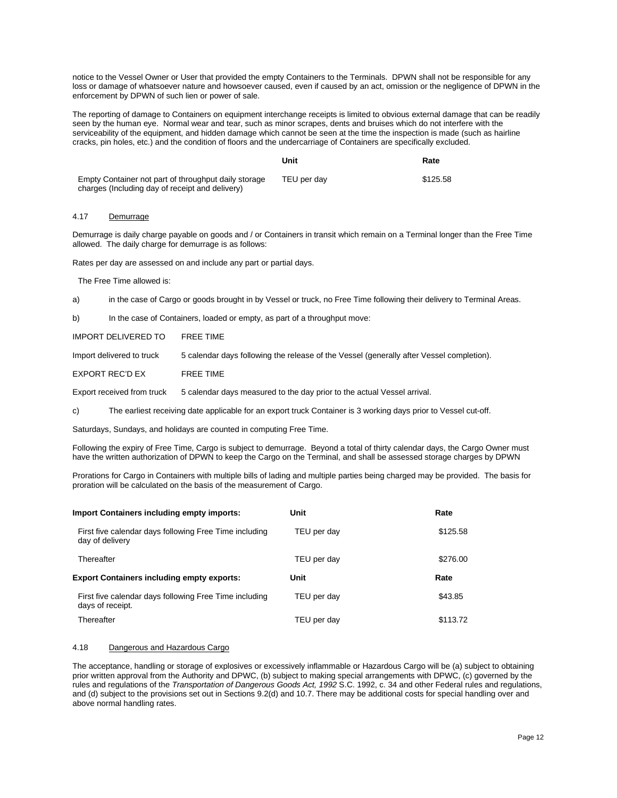notice to the Vessel Owner or User that provided the empty Containers to the Terminals. DPWN shall not be responsible for any loss or damage of whatsoever nature and howsoever caused, even if caused by an act, omission or the negligence of DPWN in the enforcement by DPWN of such lien or power of sale.

The reporting of damage to Containers on equipment interchange receipts is limited to obvious external damage that can be readily seen by the human eye. Normal wear and tear, such as minor scrapes, dents and bruises which do not interfere with the serviceability of the equipment, and hidden damage which cannot be seen at the time the inspection is made (such as hairline cracks, pin holes, etc.) and the condition of floors and the undercarriage of Containers are specifically excluded.

|                                                                                                         | Unit        | Rate     |
|---------------------------------------------------------------------------------------------------------|-------------|----------|
| Empty Container not part of throughput daily storage<br>charges (Including day of receipt and delivery) | TEU per dav | \$125.58 |

#### 4.17 Demurrage

Demurrage is daily charge payable on goods and / or Containers in transit which remain on a Terminal longer than the Free Time allowed. The daily charge for demurrage is as follows:

Rates per day are assessed on and include any part or partial days.

The Free Time allowed is:

a) in the case of Cargo or goods brought in by Vessel or truck, no Free Time following their delivery to Terminal Areas.

b) In the case of Containers, loaded or empty, as part of a throughput move:

IMPORT DELIVERED TO FREE TIME

Import delivered to truck 5 calendar days following the release of the Vessel (generally after Vessel completion).

EXPORT REC'D EX FREE TIME

Export received from truck 5 calendar days measured to the day prior to the actual Vessel arrival.

c) The earliest receiving date applicable for an export truck Container is 3 working days prior to Vessel cut-off.

Saturdays, Sundays, and holidays are counted in computing Free Time.

Following the expiry of Free Time, Cargo is subject to demurrage. Beyond a total of thirty calendar days, the Cargo Owner must have the written authorization of DPWN to keep the Cargo on the Terminal, and shall be assessed storage charges by DPWN

Prorations for Cargo in Containers with multiple bills of lading and multiple parties being charged may be provided. The basis for proration will be calculated on the basis of the measurement of Cargo.

| <b>Import Containers including empty imports:</b>                          | Unit        | Rate     |
|----------------------------------------------------------------------------|-------------|----------|
| First five calendar days following Free Time including<br>day of delivery  | TEU per day | \$125.58 |
| Thereafter                                                                 | TEU per day | \$276.00 |
| <b>Export Containers including empty exports:</b>                          | Unit        | Rate     |
| First five calendar days following Free Time including<br>days of receipt. | TEU per day | \$43.85  |
| Thereafter                                                                 | TEU per day | \$113.72 |

#### 4.18 Dangerous and Hazardous Cargo

The acceptance, handling or storage of explosives or excessively inflammable or Hazardous Cargo will be (a) subject to obtaining prior written approval from the Authority and DPWC, (b) subject to making special arrangements with DPWC, (c) governed by the rules and regulations of the *Transportation of Dangerous Goods Act, 1992* S.C. 1992, c. 34 and other Federal rules and regulations, and (d) subject to the provisions set out in Sections 9.2(d) and 10.7. There may be additional costs for special handling over and above normal handling rates.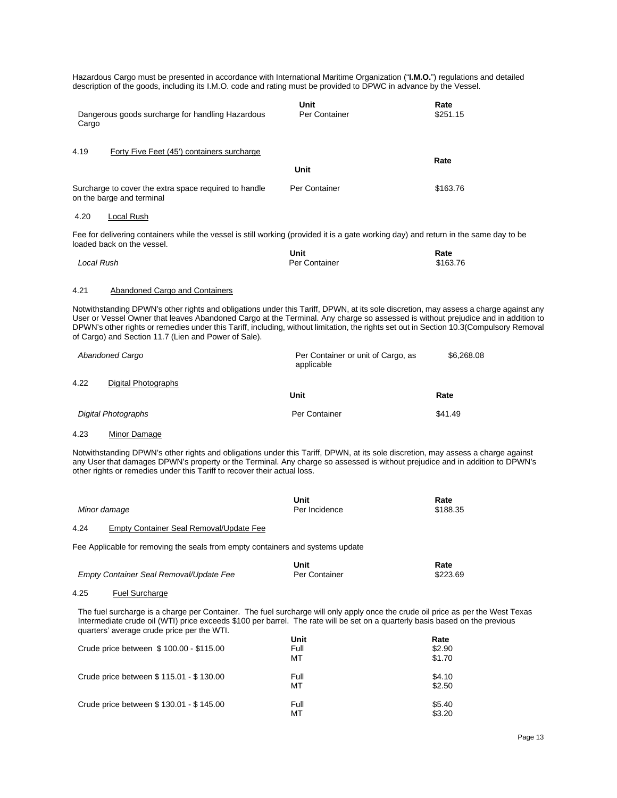Hazardous Cargo must be presented in accordance with International Maritime Organization ("**I.M.O.**") regulations and detailed description of the goods, including its I.M.O. code and rating must be provided to DPWC in advance by the Vessel.

| Dangerous goods surcharge for handling Hazardous<br>Cargo                                                                                                                                                                                                                                                                                                                                                                                                                   | Unit<br>Per Container                            | Rate<br>\$251.15    |
|-----------------------------------------------------------------------------------------------------------------------------------------------------------------------------------------------------------------------------------------------------------------------------------------------------------------------------------------------------------------------------------------------------------------------------------------------------------------------------|--------------------------------------------------|---------------------|
| 4.19<br>Forty Five Feet (45') containers surcharge                                                                                                                                                                                                                                                                                                                                                                                                                          | Unit                                             | Rate                |
| Surcharge to cover the extra space required to handle<br>on the barge and terminal                                                                                                                                                                                                                                                                                                                                                                                          | Per Container                                    | \$163.76            |
| 4.20<br>Local Rush                                                                                                                                                                                                                                                                                                                                                                                                                                                          |                                                  |                     |
| Fee for delivering containers while the vessel is still working (provided it is a gate working day) and return in the same day to be<br>loaded back on the vessel.                                                                                                                                                                                                                                                                                                          |                                                  |                     |
| Local Rush                                                                                                                                                                                                                                                                                                                                                                                                                                                                  | Unit<br>Per Container                            | Rate<br>\$163.76    |
| <b>Abandoned Cargo and Containers</b><br>4.21                                                                                                                                                                                                                                                                                                                                                                                                                               |                                                  |                     |
| Notwithstanding DPWN's other rights and obligations under this Tariff, DPWN, at its sole discretion, may assess a charge against any<br>User or Vessel Owner that leaves Abandoned Cargo at the Terminal. Any charge so assessed is without prejudice and in addition to<br>DPWN's other rights or remedies under this Tariff, including, without limitation, the rights set out in Section 10.3(Compulsory Removal<br>of Cargo) and Section 11.7 (Lien and Power of Sale). |                                                  |                     |
| <b>Abandoned Cargo</b>                                                                                                                                                                                                                                                                                                                                                                                                                                                      | Per Container or unit of Cargo, as<br>applicable | \$6,268.08          |
| 4.22<br>Digital Photographs                                                                                                                                                                                                                                                                                                                                                                                                                                                 |                                                  |                     |
|                                                                                                                                                                                                                                                                                                                                                                                                                                                                             | Unit                                             | Rate                |
| <b>Digital Photographs</b>                                                                                                                                                                                                                                                                                                                                                                                                                                                  | Per Container                                    | \$41.49             |
| Minor Damage<br>4.23                                                                                                                                                                                                                                                                                                                                                                                                                                                        |                                                  |                     |
| Notwithstanding DPWN's other rights and obligations under this Tariff, DPWN, at its sole discretion, may assess a charge against<br>any User that damages DPWN's property or the Terminal. Any charge so assessed is without prejudice and in addition to DPWN's<br>other rights or remedies under this Tariff to recover their actual loss.                                                                                                                                |                                                  |                     |
| Minor damage                                                                                                                                                                                                                                                                                                                                                                                                                                                                | Unit<br>Per Incidence                            | Rate<br>\$188.35    |
| <b>Empty Container Seal Removal/Update Fee</b><br>4.24                                                                                                                                                                                                                                                                                                                                                                                                                      |                                                  |                     |
| Fee Applicable for removing the seals from empty containers and systems update                                                                                                                                                                                                                                                                                                                                                                                              |                                                  |                     |
| Empty Container Seal Removal/Update Fee                                                                                                                                                                                                                                                                                                                                                                                                                                     | Unit<br>Per Container                            | Rate<br>\$223.69    |
| <b>Fuel Surcharge</b><br>4.25                                                                                                                                                                                                                                                                                                                                                                                                                                               |                                                  |                     |
| The fuel surcharge is a charge per Container. The fuel surcharge will only apply once the crude oil price as per the West Texas<br>Intermediate crude oil (WTI) price exceeds \$100 per barrel. The rate will be set on a quarterly basis based on the previous<br>quarters' average crude price per the WTI.<br>$CII$ do price between $C100.00$ $C115.00$                                                                                                                 | Unit<br>Full                                     | Rate<br><b>c</b> an |

| Crude price between \$100.00 - \$115.00   | -----<br>Full<br>МT | .<br>\$2.90<br>\$1.70 |
|-------------------------------------------|---------------------|-----------------------|
| Crude price between \$ 115.01 - \$ 130.00 | Full<br>МT          | \$4.10<br>\$2.50      |
| Crude price between \$ 130.01 - \$ 145.00 | Full<br>мт          | \$5.40<br>\$3.20      |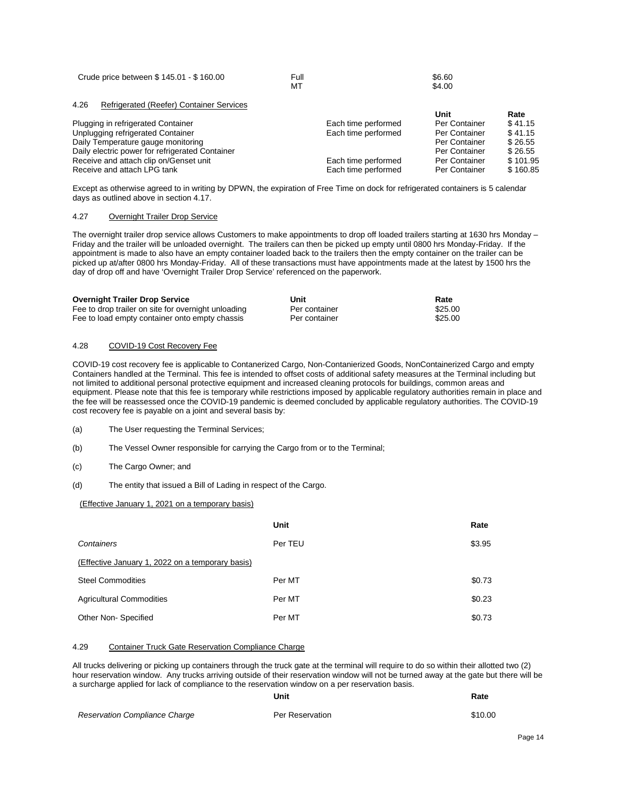| Crude price between \$145.01 - \$160.00 | Full | \$6.60 |
|-----------------------------------------|------|--------|
|                                         | MT   | \$4.00 |

| Refrigerated (Reefer) Container Services<br>4.26 |                     |               |          |
|--------------------------------------------------|---------------------|---------------|----------|
|                                                  |                     | Unit          | Rate     |
| Plugging in refrigerated Container               | Each time performed | Per Container | \$41.15  |
| Unplugging refrigerated Container                | Each time performed | Per Container | \$41.15  |
| Daily Temperature gauge monitoring               |                     | Per Container | \$26.55  |
| Daily electric power for refrigerated Container  |                     | Per Container | \$26.55  |
| Receive and attach clip on/Genset unit           | Each time performed | Per Container | \$101.95 |
| Receive and attach LPG tank                      | Each time performed | Per Container | \$160.85 |

Except as otherwise agreed to in writing by DPWN, the expiration of Free Time on dock for refrigerated containers is 5 calendar days as outlined above in section 4.17.

# 4.27 Overnight Trailer Drop Service

The overnight trailer drop service allows Customers to make appointments to drop off loaded trailers starting at 1630 hrs Monday -Friday and the trailer will be unloaded overnight. The trailers can then be picked up empty until 0800 hrs Monday-Friday. If the appointment is made to also have an empty container loaded back to the trailers then the empty container on the trailer can be picked up at/after 0800 hrs Monday-Friday. All of these transactions must have appointments made at the latest by 1500 hrs the day of drop off and have 'Overnight Trailer Drop Service' referenced on the paperwork.

| <b>Overnight Trailer Drop Service</b>               | Unit          | Rate    |
|-----------------------------------------------------|---------------|---------|
| Fee to drop trailer on site for overnight unloading | Per container | \$25.00 |
| Fee to load empty container onto empty chassis      | Per container | \$25.00 |

# 4.28 COVID-19 Cost Recovery Fee

COVID-19 cost recovery fee is applicable to Contanerized Cargo, Non-Contanierized Goods, NonContainerized Cargo and empty Containers handled at the Terminal. This fee is intended to offset costs of additional safety measures at the Terminal including but not limited to additional personal protective equipment and increased cleaning protocols for buildings, common areas and equipment. Please note that this fee is temporary while restrictions imposed by applicable regulatory authorities remain in place and the fee will be reassessed once the COVID-19 pandemic is deemed concluded by applicable regulatory authorities. The COVID-19 cost recovery fee is payable on a joint and several basis by:

- (a) The User requesting the Terminal Services;
- (b) The Vessel Owner responsible for carrying the Cargo from or to the Terminal;
- (c) The Cargo Owner; and
- (d) The entity that issued a Bill of Lading in respect of the Cargo.

#### (Effective January 1, 2021 on a temporary basis)

|                                                  | Unit    | Rate   |  |  |
|--------------------------------------------------|---------|--------|--|--|
| Containers                                       | Per TEU | \$3.95 |  |  |
| (Effective January 1, 2022 on a temporary basis) |         |        |  |  |
| <b>Steel Commodities</b>                         | Per MT  | \$0.73 |  |  |
| <b>Agricultural Commodities</b>                  | Per MT  | \$0.23 |  |  |
| Other Non-Specified                              | Per MT  | \$0.73 |  |  |

# 4.29 Container Truck Gate Reservation Compliance Charge

All trucks delivering or picking up containers through the truck gate at the terminal will require to do so within their allotted two (2) hour reservation window. Any trucks arriving outside of their reservation window will not be turned away at the gate but there will be a surcharge applied for lack of compliance to the reservation window on a per reservation basis.

|                               | Unit            | Rate    |
|-------------------------------|-----------------|---------|
| Reservation Compliance Charge | Per Reservation | \$10.00 |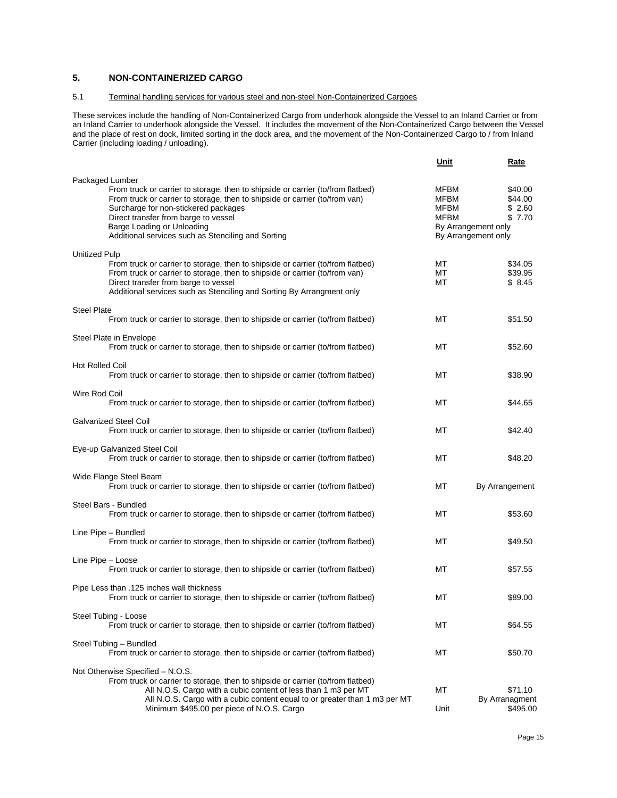# <span id="page-14-0"></span>**5. NON-CONTAINERIZED CARGO**

# 5.1 Terminal handling services for various steel and non-steel Non-Containerized Cargoes

These services include the handling of Non-Containerized Cargo from underhook alongside the Vessel to an Inland Carrier or from an Inland Carrier to underhook alongside the Vessel. It includes the movement of the Non-Containerized Cargo between the Vessel and the place of rest on dock, limited sorting in the dock area, and the movement of the Non-Containerized Cargo to / from Inland Carrier (including loading / unloading).

|                                                                                                                                                                                                                                                                                                                                                       | Unit                         | Rate                                                                                 |
|-------------------------------------------------------------------------------------------------------------------------------------------------------------------------------------------------------------------------------------------------------------------------------------------------------------------------------------------------------|------------------------------|--------------------------------------------------------------------------------------|
| Packaged Lumber<br>From truck or carrier to storage, then to shipside or carrier (to/from flatbed)<br>From truck or carrier to storage, then to shipside or carrier (to/from van)<br>Surcharge for non-stickered packages<br>Direct transfer from barge to vessel<br>Barge Loading or Unloading<br>Additional services such as Stenciling and Sorting | MFBM<br>MFBM<br>MFBM<br>MFBM | \$40.00<br>\$44.00<br>\$2.60<br>\$7.70<br>By Arrangement only<br>By Arrangement only |
| Unitized Pulp<br>From truck or carrier to storage, then to shipside or carrier (to/from flatbed)<br>From truck or carrier to storage, then to shipside or carrier (to/from van)<br>Direct transfer from barge to vessel<br>Additional services such as Stenciling and Sorting By Arrangment only                                                      | МT<br>МT<br>МT               | \$34.05<br>\$39.95<br>\$8.45                                                         |
| <b>Steel Plate</b><br>From truck or carrier to storage, then to shipside or carrier (to/from flatbed)                                                                                                                                                                                                                                                 | МT                           | \$51.50                                                                              |
| Steel Plate in Envelope<br>From truck or carrier to storage, then to shipside or carrier (to/from flatbed)                                                                                                                                                                                                                                            | МT                           | \$52.60                                                                              |
| <b>Hot Rolled Coil</b><br>From truck or carrier to storage, then to shipside or carrier (to/from flatbed)                                                                                                                                                                                                                                             | МT                           | \$38.90                                                                              |
| Wire Rod Coil<br>From truck or carrier to storage, then to shipside or carrier (to/from flatbed)                                                                                                                                                                                                                                                      | МT                           | \$44.65                                                                              |
| <b>Galvanized Steel Coil</b><br>From truck or carrier to storage, then to shipside or carrier (to/from flatbed)                                                                                                                                                                                                                                       | МT                           | \$42.40                                                                              |
| Eye-up Galvanized Steel Coil<br>From truck or carrier to storage, then to shipside or carrier (to/from flatbed)                                                                                                                                                                                                                                       | МT                           | \$48.20                                                                              |
| Wide Flange Steel Beam<br>From truck or carrier to storage, then to shipside or carrier (to/from flatbed)                                                                                                                                                                                                                                             | МT                           | By Arrangement                                                                       |
| Steel Bars - Bundled<br>From truck or carrier to storage, then to shipside or carrier (to/from flatbed)                                                                                                                                                                                                                                               | МT                           | \$53.60                                                                              |
| Line Pipe – Bundled<br>From truck or carrier to storage, then to shipside or carrier (to/from flatbed)                                                                                                                                                                                                                                                | МT                           | \$49.50                                                                              |
| Line Pipe - Loose<br>From truck or carrier to storage, then to shipside or carrier (to/from flatbed)                                                                                                                                                                                                                                                  | МT                           | \$57.55                                                                              |
| Pipe Less than .125 inches wall thickness<br>From truck or carrier to storage, then to shipside or carrier (to/from flatbed)                                                                                                                                                                                                                          | МT                           | \$89.00                                                                              |
| Steel Tubing - Loose<br>From truck or carrier to storage, then to shipside or carrier (to/from flatbed)                                                                                                                                                                                                                                               | МT                           | \$64.55                                                                              |
| Steel Tubing - Bundled<br>From truck or carrier to storage, then to shipside or carrier (to/from flatbed)                                                                                                                                                                                                                                             | МT                           | \$50.70                                                                              |
| Not Otherwise Specified - N.O.S.<br>From truck or carrier to storage, then to shipside or carrier (to/from flatbed)                                                                                                                                                                                                                                   |                              |                                                                                      |
| All N.O.S. Cargo with a cubic content of less than 1 m3 per MT<br>All N.O.S. Cargo with a cubic content equal to or greater than 1 m3 per MT<br>Minimum \$495.00 per piece of N.O.S. Cargo                                                                                                                                                            | МT<br>Unit                   | \$71.10<br>By Arranagment<br>\$495.00                                                |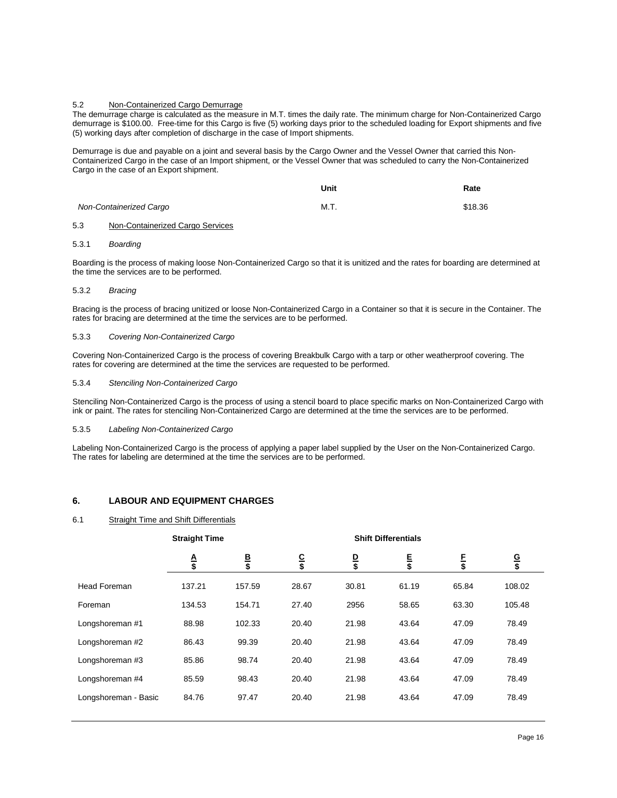#### 5.2 Non-Containerized Cargo Demurrage

The demurrage charge is calculated as the measure in M.T. times the daily rate. The minimum charge for Non-Containerized Cargo demurrage is \$100.00. Free-time for this Cargo is five (5) working days prior to the scheduled loading for Export shipments and five (5) working days after completion of discharge in the case of Import shipments.

Demurrage is due and payable on a joint and several basis by the Cargo Owner and the Vessel Owner that carried this Non-Containerized Cargo in the case of an Import shipment, or the Vessel Owner that was scheduled to carry the Non-Containerized Cargo in the case of an Export shipment.

|                         | Unit | Rate    |
|-------------------------|------|---------|
| Non-Containerized Cargo | M.T. | \$18.36 |

#### 5.3 Non-Containerized Cargo Services

#### 5.3.1 *Boarding*

Boarding is the process of making loose Non-Containerized Cargo so that it is unitized and the rates for boarding are determined at the time the services are to be performed.

#### 5.3.2 *Bracing*

Bracing is the process of bracing unitized or loose Non-Containerized Cargo in a Container so that it is secure in the Container. The rates for bracing are determined at the time the services are to be performed.

#### 5.3.3 *Covering Non-Containerized Cargo*

Covering Non-Containerized Cargo is the process of covering Breakbulk Cargo with a tarp or other weatherproof covering. The rates for covering are determined at the time the services are requested to be performed.

#### 5.3.4 *Stenciling Non-Containerized Cargo*

Stenciling Non-Containerized Cargo is the process of using a stencil board to place specific marks on Non-Containerized Cargo with ink or paint. The rates for stenciling Non-Containerized Cargo are determined at the time the services are to be performed.

#### 5.3.5 *Labeling Non-Containerized Cargo*

Labeling Non-Containerized Cargo is the process of applying a paper label supplied by the User on the Non-Containerized Cargo. The rates for labeling are determined at the time the services are to be performed.

# <span id="page-15-0"></span>**6. LABOUR AND EQUIPMENT CHARGES**

#### 6.1 Straight Time and Shift Differentials

|                      | <b>Straight Time</b> |                | <b>Shift Differentials</b> |              |             |                |              |
|----------------------|----------------------|----------------|----------------------------|--------------|-------------|----------------|--------------|
|                      | $\frac{A}{\$}$       | <u>B</u><br>\$ | $rac{C}{\$}$               | $rac{D}{\$}$ | $rac{E}{s}$ | $\frac{F}{\$}$ | $rac{G}{\$}$ |
| <b>Head Foreman</b>  | 137.21               | 157.59         | 28.67                      | 30.81        | 61.19       | 65.84          | 108.02       |
| Foreman              | 134.53               | 154.71         | 27.40                      | 2956         | 58.65       | 63.30          | 105.48       |
| Longshoreman #1      | 88.98                | 102.33         | 20.40                      | 21.98        | 43.64       | 47.09          | 78.49        |
| Longshoreman #2      | 86.43                | 99.39          | 20.40                      | 21.98        | 43.64       | 47.09          | 78.49        |
| Longshoreman #3      | 85.86                | 98.74          | 20.40                      | 21.98        | 43.64       | 47.09          | 78.49        |
| Longshoreman #4      | 85.59                | 98.43          | 20.40                      | 21.98        | 43.64       | 47.09          | 78.49        |
| Longshoreman - Basic | 84.76                | 97.47          | 20.40                      | 21.98        | 43.64       | 47.09          | 78.49        |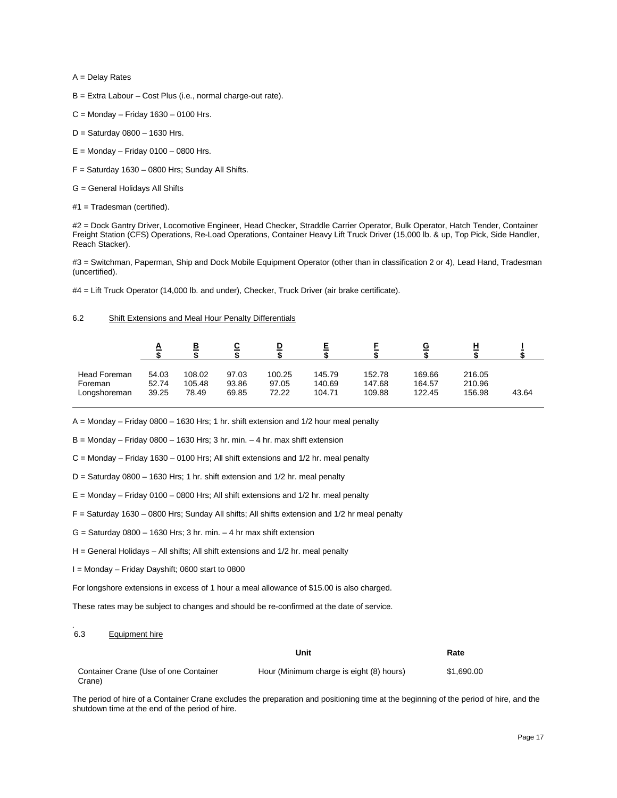A = Delay Rates

- B = Extra Labour Cost Plus (i.e., normal charge-out rate).
- $C =$  Monday Friday 1630 0100 Hrs.
- D = Saturday 0800 1630 Hrs.
- $E =$  Monday Friday 0100 0800 Hrs.
- $F =$  Saturday 1630 0800 Hrs; Sunday All Shifts.
- G = General Holidays All Shifts
- #1 = Tradesman (certified).

#2 = Dock Gantry Driver, Locomotive Engineer, Head Checker, Straddle Carrier Operator, Bulk Operator, Hatch Tender, Container Freight Station (CFS) Operations, Re-Load Operations, Container Heavy Lift Truck Driver (15,000 lb. & up, Top Pick, Side Handler, Reach Stacker).

#3 = Switchman, Paperman, Ship and Dock Mobile Equipment Operator (other than in classification 2 or 4), Lead Hand, Tradesman (uncertified).

#4 = Lift Truck Operator (14,000 lb. and under), Checker, Truck Driver (air brake certificate).

# 6.2 Shift Extensions and Meal Hour Penalty Differentials

|              | A     | в      |       | D      |        |        |        |        |       |
|--------------|-------|--------|-------|--------|--------|--------|--------|--------|-------|
| Head Foreman | 54.03 | 108.02 | 97.03 | 100.25 | 145.79 | 152.78 | 169.66 | 216.05 | 43.64 |
| Foreman      | 52.74 | 105.48 | 93.86 | 97.05  | 140.69 | 147.68 | 164.57 | 210.96 |       |
| Longshoreman | 39.25 | 78.49  | 69.85 | 72.22  | 104.71 | 109.88 | 122.45 | 156.98 |       |

A = Monday – Friday 0800 – 1630 Hrs; 1 hr. shift extension and 1/2 hour meal penalty

 $B =$  Monday – Friday 0800 – 1630 Hrs; 3 hr. min. – 4 hr. max shift extension

 $C =$  Monday – Friday 1630 – 0100 Hrs; All shift extensions and 1/2 hr. meal penalty

- D = Saturday 0800 1630 Hrs; 1 hr. shift extension and 1/2 hr. meal penalty
- $E =$  Monday Friday 0100 0800 Hrs; All shift extensions and 1/2 hr. meal penalty
- F = Saturday 1630 0800 Hrs; Sunday All shifts; All shifts extension and 1/2 hr meal penalty
- $G =$  Saturday 0800 1630 Hrs; 3 hr. min. 4 hr max shift extension
- H = General Holidays All shifts; All shift extensions and 1/2 hr. meal penalty
- I = Monday Friday Dayshift; 0600 start to 0800

For longshore extensions in excess of 1 hour a meal allowance of \$15.00 is also charged.

These rates may be subject to changes and should be re-confirmed at the date of service.

#### *.*  Equipment hire

|                                                 | Unit                                     | Rate       |
|-------------------------------------------------|------------------------------------------|------------|
| Container Crane (Use of one Container<br>Crane) | Hour (Minimum charge is eight (8) hours) | \$1.690.00 |

The period of hire of a Container Crane excludes the preparation and positioning time at the beginning of the period of hire, and the shutdown time at the end of the period of hire.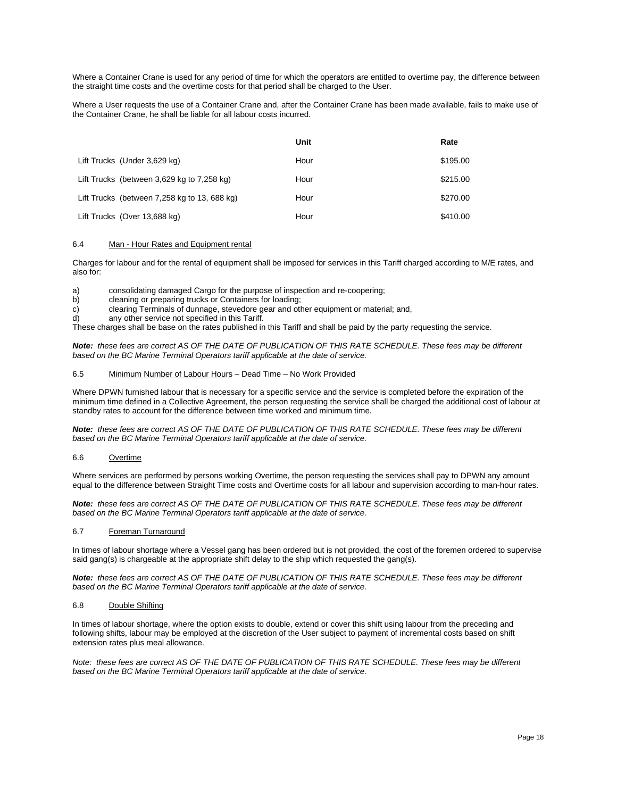Where a Container Crane is used for any period of time for which the operators are entitled to overtime pay, the difference between the straight time costs and the overtime costs for that period shall be charged to the User.

Where a User requests the use of a Container Crane and, after the Container Crane has been made available, fails to make use of the Container Crane, he shall be liable for all labour costs incurred.

|                                                | Unit | Rate     |
|------------------------------------------------|------|----------|
| Lift Trucks (Under 3,629 kg)                   | Hour | \$195.00 |
| Lift Trucks (between 3,629 kg to 7,258 kg)     | Hour | \$215.00 |
| Lift Trucks (between $7,258$ kg to 13, 688 kg) | Hour | \$270.00 |
| Lift Trucks (Over 13,688 kg)                   | Hour | \$410.00 |

# 6.4 Man - Hour Rates and Equipment rental

Charges for labour and for the rental of equipment shall be imposed for services in this Tariff charged according to M/E rates, and also for:

a) consolidating damaged Cargo for the purpose of inspection and re-coopering;

b) cleaning or preparing trucks or Containers for loading;<br>c) clearing Terminals of dunnage, stevedore gear and other

clearing Terminals of dunnage, stevedore gear and other equipment or material; and,

d) any other service not specified in this Tariff.

These charges shall be base on the rates published in this Tariff and shall be paid by the party requesting the service.

*Note: these fees are correct AS OF THE DATE OF PUBLICATION OF THIS RATE SCHEDULE. These fees may be different based on the BC Marine Terminal Operators tariff applicable at the date of service.* 

#### 6.5 Minimum Number of Labour Hours – Dead Time – No Work Provided

Where DPWN furnished labour that is necessary for a specific service and the service is completed before the expiration of the minimum time defined in a Collective Agreement, the person requesting the service shall be charged the additional cost of labour at standby rates to account for the difference between time worked and minimum time.

*Note: these fees are correct AS OF THE DATE OF PUBLICATION OF THIS RATE SCHEDULE. These fees may be different based on the BC Marine Terminal Operators tariff applicable at the date of service.* 

# 6.6 Overtime

Where services are performed by persons working Overtime, the person requesting the services shall pay to DPWN any amount equal to the difference between Straight Time costs and Overtime costs for all labour and supervision according to man-hour rates.

*Note: these fees are correct AS OF THE DATE OF PUBLICATION OF THIS RATE SCHEDULE. These fees may be different based on the BC Marine Terminal Operators tariff applicable at the date of service.* 

#### 6.7 Foreman Turnaround

In times of labour shortage where a Vessel gang has been ordered but is not provided, the cost of the foremen ordered to supervise said gang(s) is chargeable at the appropriate shift delay to the ship which requested the gang(s).

*Note: these fees are correct AS OF THE DATE OF PUBLICATION OF THIS RATE SCHEDULE. These fees may be different based on the BC Marine Terminal Operators tariff applicable at the date of service.* 

#### 6.8 Double Shifting

In times of labour shortage, where the option exists to double, extend or cover this shift using labour from the preceding and following shifts, labour may be employed at the discretion of the User subject to payment of incremental costs based on shift extension rates plus meal allowance.

*Note: these fees are correct AS OF THE DATE OF PUBLICATION OF THIS RATE SCHEDULE. These fees may be different based on the BC Marine Terminal Operators tariff applicable at the date of service.*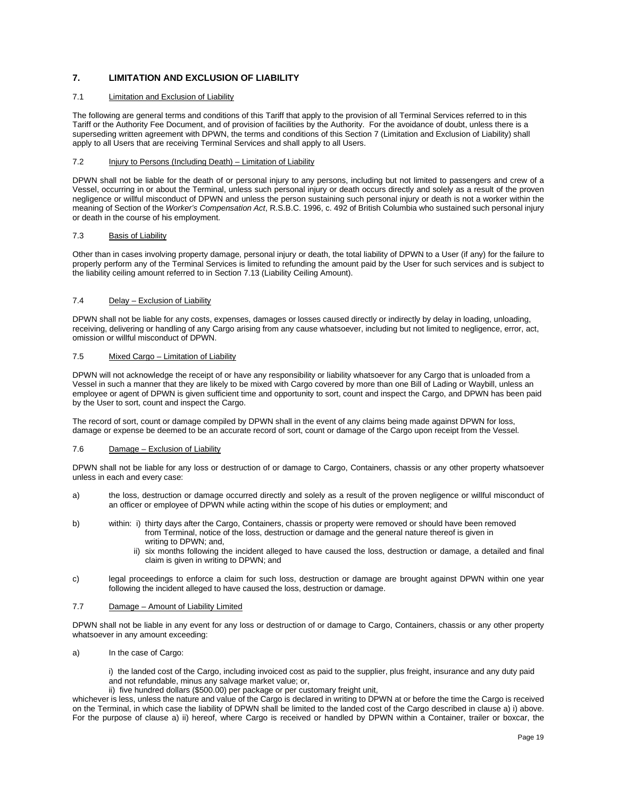# <span id="page-18-0"></span>**7. LIMITATION AND EXCLUSION OF LIABILITY**

# 7.1 Limitation and Exclusion of Liability

The following are general terms and conditions of this Tariff that apply to the provision of all Terminal Services referred to in this Tariff or the Authority Fee Document, and of provision of facilities by the Authority. For the avoidance of doubt, unless there is a superseding written agreement with DPWN, the terms and conditions of this Section 7 (Limitation and Exclusion of Liability) shall apply to all Users that are receiving Terminal Services and shall apply to all Users.

#### 7.2 Injury to Persons (Including Death) – Limitation of Liability

DPWN shall not be liable for the death of or personal injury to any persons, including but not limited to passengers and crew of a Vessel, occurring in or about the Terminal, unless such personal injury or death occurs directly and solely as a result of the proven negligence or willful misconduct of DPWN and unless the person sustaining such personal injury or death is not a worker within the meaning of Section of the *Worker's Compensation Act*, R.S.B.C. 1996, c. 492 of British Columbia who sustained such personal injury or death in the course of his employment.

#### 7.3 Basis of Liability

Other than in cases involving property damage, personal injury or death, the total liability of DPWN to a User (if any) for the failure to properly perform any of the Terminal Services is limited to refunding the amount paid by the User for such services and is subject to the liability ceiling amount referred to in Section 7.13 (Liability Ceiling Amount).

#### 7.4 Delay – Exclusion of Liability

DPWN shall not be liable for any costs, expenses, damages or losses caused directly or indirectly by delay in loading, unloading, receiving, delivering or handling of any Cargo arising from any cause whatsoever, including but not limited to negligence, error, act, omission or willful misconduct of DPWN.

## 7.5 Mixed Cargo – Limitation of Liability

DPWN will not acknowledge the receipt of or have any responsibility or liability whatsoever for any Cargo that is unloaded from a Vessel in such a manner that they are likely to be mixed with Cargo covered by more than one Bill of Lading or Waybill, unless an employee or agent of DPWN is given sufficient time and opportunity to sort, count and inspect the Cargo, and DPWN has been paid by the User to sort, count and inspect the Cargo.

The record of sort, count or damage compiled by DPWN shall in the event of any claims being made against DPWN for loss, damage or expense be deemed to be an accurate record of sort, count or damage of the Cargo upon receipt from the Vessel.

#### 7.6 Damage – Exclusion of Liability

DPWN shall not be liable for any loss or destruction of or damage to Cargo, Containers, chassis or any other property whatsoever unless in each and every case:

- a) the loss, destruction or damage occurred directly and solely as a result of the proven negligence or willful misconduct of an officer or employee of DPWN while acting within the scope of his duties or employment; and
- b) within: i) thirty days after the Cargo, Containers, chassis or property were removed or should have been removed from Terminal, notice of the loss, destruction or damage and the general nature thereof is given in writing to DPWN; and,
	- ii) six months following the incident alleged to have caused the loss, destruction or damage, a detailed and final claim is given in writing to DPWN; and
- c) legal proceedings to enforce a claim for such loss, destruction or damage are brought against DPWN within one year following the incident alleged to have caused the loss, destruction or damage.

#### 7.7 Damage – Amount of Liability Limited

DPWN shall not be liable in any event for any loss or destruction of or damage to Cargo, Containers, chassis or any other property whatsoever in any amount exceeding:

a) In the case of Cargo:

i) the landed cost of the Cargo, including invoiced cost as paid to the supplier, plus freight, insurance and any duty paid and not refundable, minus any salvage market value; or,

ii) five hundred dollars (\$500.00) per package or per customary freight unit,

whichever is less, unless the nature and value of the Cargo is declared in writing to DPWN at or before the time the Cargo is received on the Terminal, in which case the liability of DPWN shall be limited to the landed cost of the Cargo described in clause a) i) above. For the purpose of clause a) ii) hereof, where Cargo is received or handled by DPWN within a Container, trailer or boxcar, the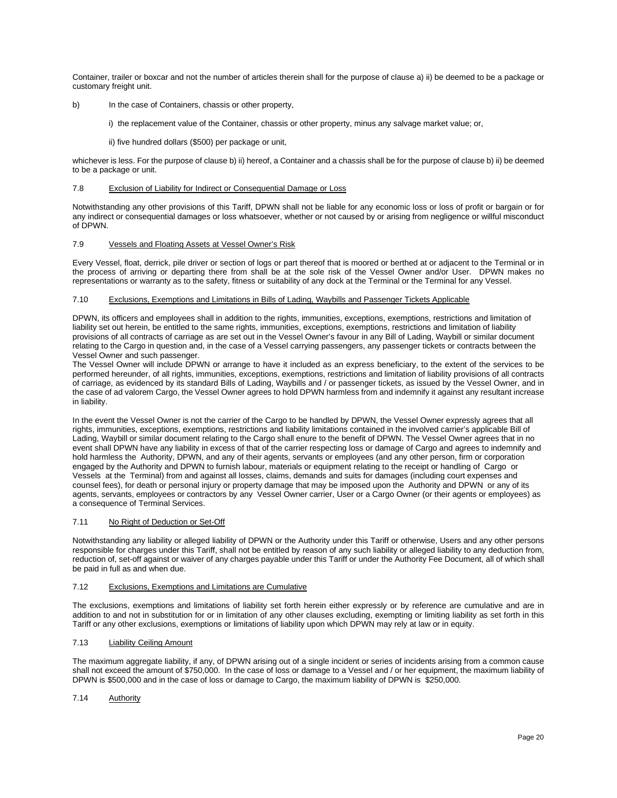Container, trailer or boxcar and not the number of articles therein shall for the purpose of clause a) ii) be deemed to be a package or customary freight unit.

- b) In the case of Containers, chassis or other property,
	- i) the replacement value of the Container, chassis or other property, minus any salvage market value; or,
	- ii) five hundred dollars (\$500) per package or unit,

whichever is less. For the purpose of clause b) ii) hereof, a Container and a chassis shall be for the purpose of clause b) ii) be deemed to be a package or unit.

# 7.8 Exclusion of Liability for Indirect or Consequential Damage or Loss

Notwithstanding any other provisions of this Tariff, DPWN shall not be liable for any economic loss or loss of profit or bargain or for any indirect or consequential damages or loss whatsoever, whether or not caused by or arising from negligence or willful misconduct of DPWN.

#### 7.9 Vessels and Floating Assets at Vessel Owner's Risk

Every Vessel, float, derrick, pile driver or section of logs or part thereof that is moored or berthed at or adjacent to the Terminal or in the process of arriving or departing there from shall be at the sole risk of the Vessel Owner and/or User. DPWN makes no representations or warranty as to the safety, fitness or suitability of any dock at the Terminal or the Terminal for any Vessel.

# 7.10 Exclusions, Exemptions and Limitations in Bills of Lading, Waybills and Passenger Tickets Applicable

DPWN, its officers and employees shall in addition to the rights, immunities, exceptions, exemptions, restrictions and limitation of liability set out herein, be entitled to the same rights, immunities, exceptions, exemptions, restrictions and limitation of liability provisions of all contracts of carriage as are set out in the Vessel Owner's favour in any Bill of Lading, Waybill or similar document relating to the Cargo in question and, in the case of a Vessel carrying passengers, any passenger tickets or contracts between the Vessel Owner and such passenger.

The Vessel Owner will include DPWN or arrange to have it included as an express beneficiary, to the extent of the services to be performed hereunder, of all rights, immunities, exceptions, exemptions, restrictions and limitation of liability provisions of all contracts of carriage, as evidenced by its standard Bills of Lading, Waybills and / or passenger tickets, as issued by the Vessel Owner, and in the case of ad valorem Cargo, the Vessel Owner agrees to hold DPWN harmless from and indemnify it against any resultant increase in liability.

In the event the Vessel Owner is not the carrier of the Cargo to be handled by DPWN, the Vessel Owner expressly agrees that all rights, immunities, exceptions, exemptions, restrictions and liability limitations contained in the involved carrier's applicable Bill of Lading, Waybill or similar document relating to the Cargo shall enure to the benefit of DPWN. The Vessel Owner agrees that in no event shall DPWN have any liability in excess of that of the carrier respecting loss or damage of Cargo and agrees to indemnify and hold harmless the Authority, DPWN, and any of their agents, servants or employees (and any other person, firm or corporation engaged by the Authority and DPWN to furnish labour, materials or equipment relating to the receipt or handling of Cargo or Vessels at the Terminal) from and against all losses, claims, demands and suits for damages (including court expenses and counsel fees), for death or personal injury or property damage that may be imposed upon the Authority and DPWN or any of its agents, servants, employees or contractors by any Vessel Owner carrier, User or a Cargo Owner (or their agents or employees) as a consequence of Terminal Services.

#### 7.11 No Right of Deduction or Set-Off

Notwithstanding any liability or alleged liability of DPWN or the Authority under this Tariff or otherwise, Users and any other persons responsible for charges under this Tariff, shall not be entitled by reason of any such liability or alleged liability to any deduction from, reduction of, set-off against or waiver of any charges payable under this Tariff or under the Authority Fee Document, all of which shall be paid in full as and when due.

#### 7.12 Exclusions, Exemptions and Limitations are Cumulative

The exclusions, exemptions and limitations of liability set forth herein either expressly or by reference are cumulative and are in addition to and not in substitution for or in limitation of any other clauses excluding, exempting or limiting liability as set forth in this Tariff or any other exclusions, exemptions or limitations of liability upon which DPWN may rely at law or in equity.

# 7.13 Liability Ceiling Amount

The maximum aggregate liability, if any, of DPWN arising out of a single incident or series of incidents arising from a common cause shall not exceed the amount of \$750,000. In the case of loss or damage to a Vessel and / or her equipment, the maximum liability of DPWN is \$500,000 and in the case of loss or damage to Cargo, the maximum liability of DPWN is \$250,000.

7.14 Authority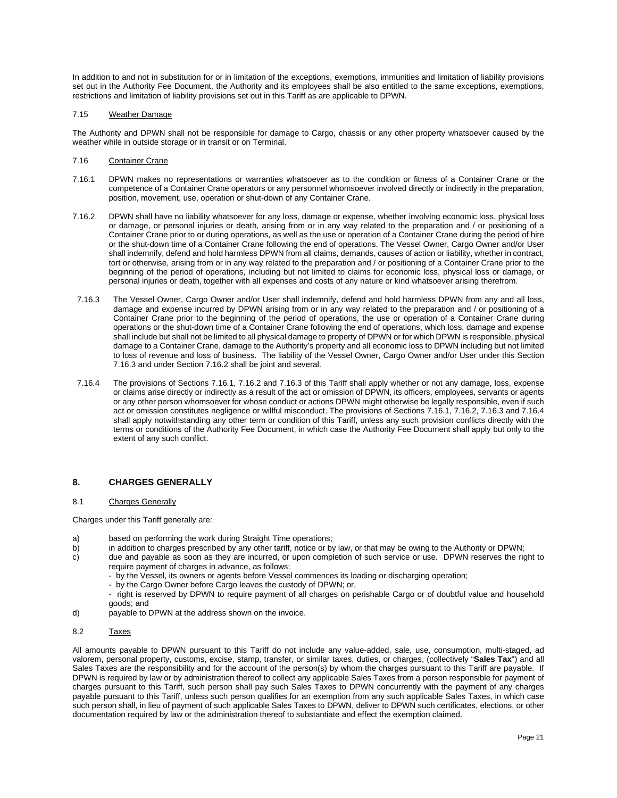In addition to and not in substitution for or in limitation of the exceptions, exemptions, immunities and limitation of liability provisions set out in the Authority Fee Document, the Authority and its employees shall be also entitled to the same exceptions, exemptions, restrictions and limitation of liability provisions set out in this Tariff as are applicable to DPWN.

### 7.15 Weather Damage

The Authority and DPWN shall not be responsible for damage to Cargo, chassis or any other property whatsoever caused by the weather while in outside storage or in transit or on Terminal.

# 7.16 Container Crane

- 7.16.1 DPWN makes no representations or warranties whatsoever as to the condition or fitness of a Container Crane or the competence of a Container Crane operators or any personnel whomsoever involved directly or indirectly in the preparation, position, movement, use, operation or shut-down of any Container Crane.
- 7.16.2 DPWN shall have no liability whatsoever for any loss, damage or expense, whether involving economic loss, physical loss or damage, or personal injuries or death, arising from or in any way related to the preparation and / or positioning of a Container Crane prior to or during operations, as well as the use or operation of a Container Crane during the period of hire or the shut-down time of a Container Crane following the end of operations. The Vessel Owner, Cargo Owner and/or User shall indemnify, defend and hold harmless DPWN from all claims, demands, causes of action or liability, whether in contract, tort or otherwise, arising from or in any way related to the preparation and / or positioning of a Container Crane prior to the beginning of the period of operations, including but not limited to claims for economic loss, physical loss or damage, or personal injuries or death, together with all expenses and costs of any nature or kind whatsoever arising therefrom.
- 7.16.3 The Vessel Owner, Cargo Owner and/or User shall indemnify, defend and hold harmless DPWN from any and all loss, damage and expense incurred by DPWN arising from or in any way related to the preparation and / or positioning of a Container Crane prior to the beginning of the period of operations, the use or operation of a Container Crane during operations or the shut-down time of a Container Crane following the end of operations, which loss, damage and expense shall include but shall not be limited to all physical damage to property of DPWN or for which DPWN is responsible, physical damage to a Container Crane, damage to the Authority's property and all economic loss to DPWN including but not limited to loss of revenue and loss of business. The liability of the Vessel Owner, Cargo Owner and/or User under this Section 7.16.3 and under Section 7.16.2 shall be joint and several.
- 7.16.4 The provisions of Sections 7.16.1, 7.16.2 and 7.16.3 of this Tariff shall apply whether or not any damage, loss, expense or claims arise directly or indirectly as a result of the act or omission of DPWN, its officers, employees, servants or agents or any other person whomsoever for whose conduct or actions DPWN might otherwise be legally responsible, even if such act or omission constitutes negligence or willful misconduct. The provisions of Sections 7.16.1, 7.16.2, 7.16.3 and 7.16.4 shall apply notwithstanding any other term or condition of this Tariff, unless any such provision conflicts directly with the terms or conditions of the Authority Fee Document, in which case the Authority Fee Document shall apply but only to the extent of any such conflict.

# <span id="page-20-0"></span>**8. CHARGES GENERALLY**

#### 8.1 Charges Generally

Charges under this Tariff generally are:

- a) based on performing the work during Straight Time operations;<br>b) in addition to charges prescribed by any other tariff, notice or by
- in addition to charges prescribed by any other tariff, notice or by law, or that may be owing to the Authority or DPWN;
- c) due and payable as soon as they are incurred, or upon completion of such service or use. DPWN reserves the right to require payment of charges in advance, as follows:
	- by the Vessel, its owners or agents before Vessel commences its loading or discharging operation;
	- by the Cargo Owner before Cargo leaves the custody of DPWN; or,
	- right is reserved by DPWN to require payment of all charges on perishable Cargo or of doubtful value and household goods; and
- d) payable to DPWN at the address shown on the invoice.
- 8.2 Taxes

All amounts payable to DPWN pursuant to this Tariff do not include any value-added, sale, use, consumption, multi-staged, ad valorem, personal property, customs, excise, stamp, transfer, or similar taxes, duties, or charges, (collectively "**Sales Tax**") and all Sales Taxes are the responsibility and for the account of the person(s) by whom the charges pursuant to this Tariff are payable. If DPWN is required by law or by administration thereof to collect any applicable Sales Taxes from a person responsible for payment of charges pursuant to this Tariff, such person shall pay such Sales Taxes to DPWN concurrently with the payment of any charges payable pursuant to this Tariff, unless such person qualifies for an exemption from any such applicable Sales Taxes, in which case such person shall, in lieu of payment of such applicable Sales Taxes to DPWN, deliver to DPWN such certificates, elections, or other documentation required by law or the administration thereof to substantiate and effect the exemption claimed.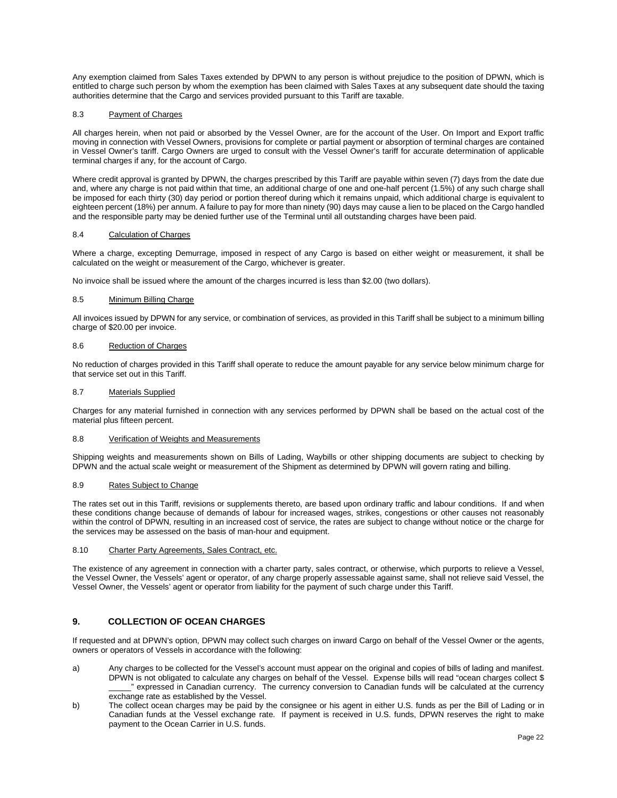Any exemption claimed from Sales Taxes extended by DPWN to any person is without prejudice to the position of DPWN, which is entitled to charge such person by whom the exemption has been claimed with Sales Taxes at any subsequent date should the taxing authorities determine that the Cargo and services provided pursuant to this Tariff are taxable.

# 8.3 Payment of Charges

All charges herein, when not paid or absorbed by the Vessel Owner, are for the account of the User. On Import and Export traffic moving in connection with Vessel Owners, provisions for complete or partial payment or absorption of terminal charges are contained in Vessel Owner's tariff. Cargo Owners are urged to consult with the Vessel Owner's tariff for accurate determination of applicable terminal charges if any, for the account of Cargo.

Where credit approval is granted by DPWN, the charges prescribed by this Tariff are payable within seven (7) days from the date due and, where any charge is not paid within that time, an additional charge of one and one-half percent (1.5%) of any such charge shall be imposed for each thirty (30) day period or portion thereof during which it remains unpaid, which additional charge is equivalent to eighteen percent (18%) per annum. A failure to pay for more than ninety (90) days may cause a lien to be placed on the Cargo handled and the responsible party may be denied further use of the Terminal until all outstanding charges have been paid.

# 8.4 Calculation of Charges

Where a charge, excepting Demurrage, imposed in respect of any Cargo is based on either weight or measurement, it shall be calculated on the weight or measurement of the Cargo, whichever is greater.

No invoice shall be issued where the amount of the charges incurred is less than \$2.00 (two dollars).

#### 8.5 Minimum Billing Charge

All invoices issued by DPWN for any service, or combination of services, as provided in this Tariff shall be subject to a minimum billing charge of \$20.00 per invoice.

#### 8.6 Reduction of Charges

No reduction of charges provided in this Tariff shall operate to reduce the amount payable for any service below minimum charge for that service set out in this Tariff.

# 8.7 Materials Supplied

Charges for any material furnished in connection with any services performed by DPWN shall be based on the actual cost of the material plus fifteen percent.

#### 8.8 Verification of Weights and Measurements

Shipping weights and measurements shown on Bills of Lading, Waybills or other shipping documents are subject to checking by DPWN and the actual scale weight or measurement of the Shipment as determined by DPWN will govern rating and billing.

### 8.9 Rates Subject to Change

The rates set out in this Tariff, revisions or supplements thereto, are based upon ordinary traffic and labour conditions. If and when these conditions change because of demands of labour for increased wages, strikes, congestions or other causes not reasonably within the control of DPWN, resulting in an increased cost of service, the rates are subject to change without notice or the charge for the services may be assessed on the basis of man-hour and equipment.

#### 8.10 Charter Party Agreements, Sales Contract, etc.

The existence of any agreement in connection with a charter party, sales contract, or otherwise, which purports to relieve a Vessel, the Vessel Owner, the Vessels' agent or operator, of any charge properly assessable against same, shall not relieve said Vessel, the Vessel Owner, the Vessels' agent or operator from liability for the payment of such charge under this Tariff.

# <span id="page-21-0"></span>**9. COLLECTION OF OCEAN CHARGES**

If requested and at DPWN's option, DPWN may collect such charges on inward Cargo on behalf of the Vessel Owner or the agents, owners or operators of Vessels in accordance with the following:

- a) Any charges to be collected for the Vessel's account must appear on the original and copies of bills of lading and manifest. DPWN is not obligated to calculate any charges on behalf of the Vessel. Expense bills will read "ocean charges collect \$ \_\_\_\_\_" expressed in Canadian currency. The currency conversion to Canadian funds will be calculated at the currency exchange rate as established by the Vessel.
- b) The collect ocean charges may be paid by the consignee or his agent in either U.S. funds as per the Bill of Lading or in Canadian funds at the Vessel exchange rate. If payment is received in U.S. funds, DPWN reserves the right to make payment to the Ocean Carrier in U.S. funds.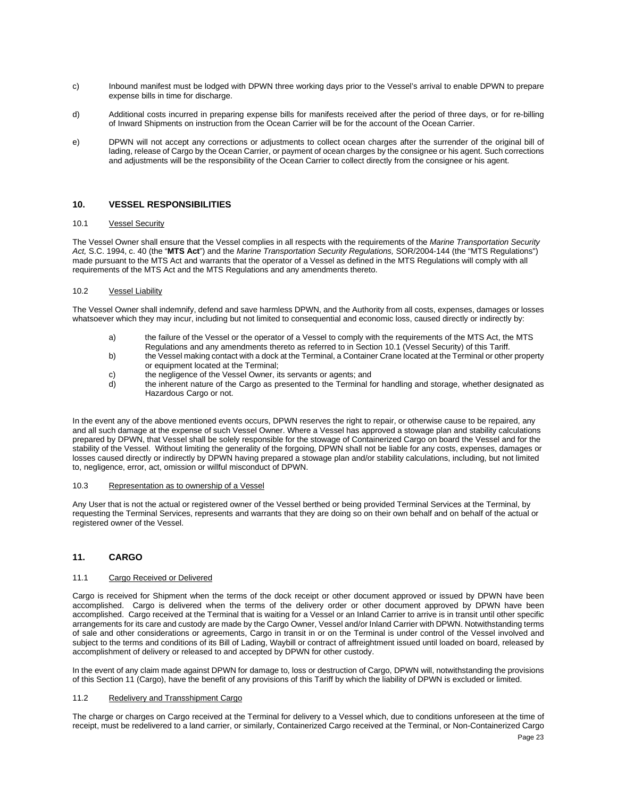- c) Inbound manifest must be lodged with DPWN three working days prior to the Vessel's arrival to enable DPWN to prepare expense bills in time for discharge.
- d) Additional costs incurred in preparing expense bills for manifests received after the period of three days, or for re-billing of Inward Shipments on instruction from the Ocean Carrier will be for the account of the Ocean Carrier.
- e) DPWN will not accept any corrections or adjustments to collect ocean charges after the surrender of the original bill of lading, release of Cargo by the Ocean Carrier, or payment of ocean charges by the consignee or his agent. Such corrections and adjustments will be the responsibility of the Ocean Carrier to collect directly from the consignee or his agent.

# <span id="page-22-0"></span>**10. VESSEL RESPONSIBILITIES**

#### 10.1 Vessel Security

The Vessel Owner shall ensure that the Vessel complies in all respects with the requirements of the *Marine Transportation Security Act,* S.C. 1994, c. 40 (the "**MTS Act**") and the *Marine Transportation Security Regulations,* SOR/2004-144 (the "MTS Regulations") made pursuant to the MTS Act and warrants that the operator of a Vessel as defined in the MTS Regulations will comply with all requirements of the MTS Act and the MTS Regulations and any amendments thereto.

#### 10.2 Vessel Liability

The Vessel Owner shall indemnify, defend and save harmless DPWN, and the Authority from all costs, expenses, damages or losses whatsoever which they may incur, including but not limited to consequential and economic loss, caused directly or indirectly by:

- a) the failure of the Vessel or the operator of a Vessel to comply with the requirements of the MTS Act, the MTS Regulations and any amendments thereto as referred to in Section 10.1 (Vessel Security) of this Tariff.
- b) the Vessel making contact with a dock at the Terminal, a Container Crane located at the Terminal or other property or equipment located at the Terminal;
- c) the negligence of the Vessel Owner, its servants or agents; and
- d) the inherent nature of the Cargo as presented to the Terminal for handling and storage, whether designated as Hazardous Cargo or not.

In the event any of the above mentioned events occurs, DPWN reserves the right to repair, or otherwise cause to be repaired, any and all such damage at the expense of such Vessel Owner. Where a Vessel has approved a stowage plan and stability calculations prepared by DPWN, that Vessel shall be solely responsible for the stowage of Containerized Cargo on board the Vessel and for the stability of the Vessel. Without limiting the generality of the forgoing, DPWN shall not be liable for any costs, expenses, damages or losses caused directly or indirectly by DPWN having prepared a stowage plan and/or stability calculations, including, but not limited to, negligence, error, act, omission or willful misconduct of DPWN.

#### 10.3 Representation as to ownership of a Vessel

Any User that is not the actual or registered owner of the Vessel berthed or being provided Terminal Services at the Terminal, by requesting the Terminal Services, represents and warrants that they are doing so on their own behalf and on behalf of the actual or registered owner of the Vessel.

# <span id="page-22-1"></span>**11. CARGO**

#### 11.1 Cargo Received or Delivered

Cargo is received for Shipment when the terms of the dock receipt or other document approved or issued by DPWN have been accomplished. Cargo is delivered when the terms of the delivery order or other document approved by DPWN have been accomplished. Cargo received at the Terminal that is waiting for a Vessel or an Inland Carrier to arrive is in transit until other specific arrangements for its care and custody are made by the Cargo Owner, Vessel and/or Inland Carrier with DPWN. Notwithstanding terms of sale and other considerations or agreements, Cargo in transit in or on the Terminal is under control of the Vessel involved and subject to the terms and conditions of its Bill of Lading, Waybill or contract of affreightment issued until loaded on board, released by accomplishment of delivery or released to and accepted by DPWN for other custody.

In the event of any claim made against DPWN for damage to, loss or destruction of Cargo, DPWN will, notwithstanding the provisions of this Section 11 (Cargo), have the benefit of any provisions of this Tariff by which the liability of DPWN is excluded or limited.

#### 11.2 Redelivery and Transshipment Cargo

The charge or charges on Cargo received at the Terminal for delivery to a Vessel which, due to conditions unforeseen at the time of receipt, must be redelivered to a land carrier, or similarly, Containerized Cargo received at the Terminal, or Non-Containerized Cargo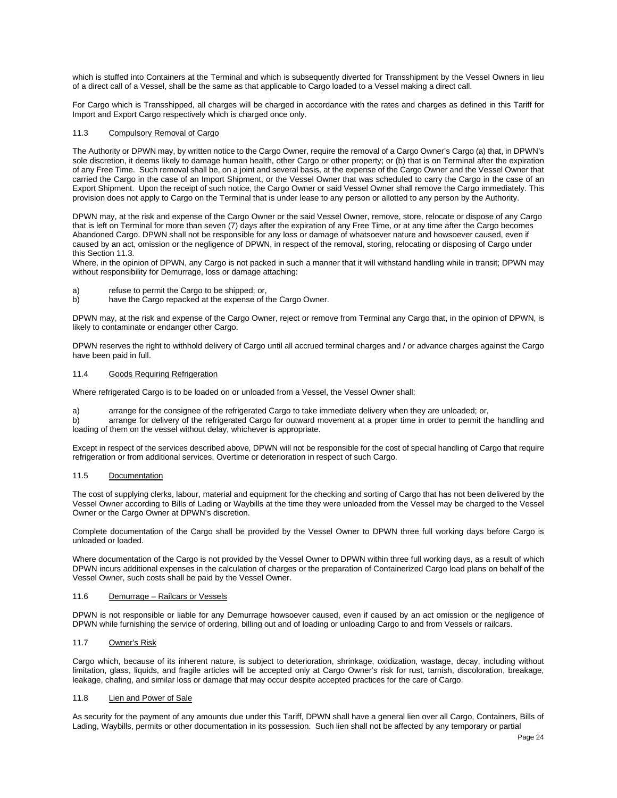which is stuffed into Containers at the Terminal and which is subsequently diverted for Transshipment by the Vessel Owners in lieu of a direct call of a Vessel, shall be the same as that applicable to Cargo loaded to a Vessel making a direct call.

For Cargo which is Transshipped, all charges will be charged in accordance with the rates and charges as defined in this Tariff for Import and Export Cargo respectively which is charged once only.

# 11.3 Compulsory Removal of Cargo

The Authority or DPWN may, by written notice to the Cargo Owner, require the removal of a Cargo Owner's Cargo (a) that, in DPWN's sole discretion, it deems likely to damage human health, other Cargo or other property; or (b) that is on Terminal after the expiration of any Free Time. Such removal shall be, on a joint and several basis, at the expense of the Cargo Owner and the Vessel Owner that carried the Cargo in the case of an Import Shipment, or the Vessel Owner that was scheduled to carry the Cargo in the case of an Export Shipment. Upon the receipt of such notice, the Cargo Owner or said Vessel Owner shall remove the Cargo immediately. This provision does not apply to Cargo on the Terminal that is under lease to any person or allotted to any person by the Authority.

DPWN may, at the risk and expense of the Cargo Owner or the said Vessel Owner, remove, store, relocate or dispose of any Cargo that is left on Terminal for more than seven (7) days after the expiration of any Free Time, or at any time after the Cargo becomes Abandoned Cargo. DPWN shall not be responsible for any loss or damage of whatsoever nature and howsoever caused, even if caused by an act, omission or the negligence of DPWN, in respect of the removal, storing, relocating or disposing of Cargo under this Section 11.3.

Where, in the opinion of DPWN, any Cargo is not packed in such a manner that it will withstand handling while in transit; DPWN may without responsibility for Demurrage, loss or damage attaching:

- a) refuse to permit the Cargo to be shipped; or,
- b) have the Cargo repacked at the expense of the Cargo Owner.

DPWN may, at the risk and expense of the Cargo Owner, reject or remove from Terminal any Cargo that, in the opinion of DPWN, is likely to contaminate or endanger other Cargo.

DPWN reserves the right to withhold delivery of Cargo until all accrued terminal charges and / or advance charges against the Cargo have been paid in full.

#### 11.4 Goods Requiring Refrigeration

Where refrigerated Cargo is to be loaded on or unloaded from a Vessel, the Vessel Owner shall:

a) arrange for the consignee of the refrigerated Cargo to take immediate delivery when they are unloaded; or,<br>b) arrange for delivery of the refrigerated Cargo for outward movement at a proper time in order to permit th

b) arrange for delivery of the refrigerated Cargo for outward movement at a proper time in order to permit the handling and loading of them on the vessel without delay, whichever is appropriate.

Except in respect of the services described above, DPWN will not be responsible for the cost of special handling of Cargo that require refrigeration or from additional services, Overtime or deterioration in respect of such Cargo.

#### 11.5 Documentation

The cost of supplying clerks, labour, material and equipment for the checking and sorting of Cargo that has not been delivered by the Vessel Owner according to Bills of Lading or Waybills at the time they were unloaded from the Vessel may be charged to the Vessel Owner or the Cargo Owner at DPWN's discretion.

Complete documentation of the Cargo shall be provided by the Vessel Owner to DPWN three full working days before Cargo is unloaded or loaded.

Where documentation of the Cargo is not provided by the Vessel Owner to DPWN within three full working days, as a result of which DPWN incurs additional expenses in the calculation of charges or the preparation of Containerized Cargo load plans on behalf of the Vessel Owner, such costs shall be paid by the Vessel Owner.

#### 11.6 Demurrage – Railcars or Vessels

DPWN is not responsible or liable for any Demurrage howsoever caused, even if caused by an act omission or the negligence of DPWN while furnishing the service of ordering, billing out and of loading or unloading Cargo to and from Vessels or railcars.

# 11.7 Owner's Risk

Cargo which, because of its inherent nature, is subject to deterioration, shrinkage, oxidization, wastage, decay, including without limitation, glass, liquids, and fragile articles will be accepted only at Cargo Owner's risk for rust, tarnish, discoloration, breakage, leakage, chafing, and similar loss or damage that may occur despite accepted practices for the care of Cargo.

#### 11.8 Lien and Power of Sale

As security for the payment of any amounts due under this Tariff, DPWN shall have a general lien over all Cargo, Containers, Bills of Lading, Waybills, permits or other documentation in its possession. Such lien shall not be affected by any temporary or partial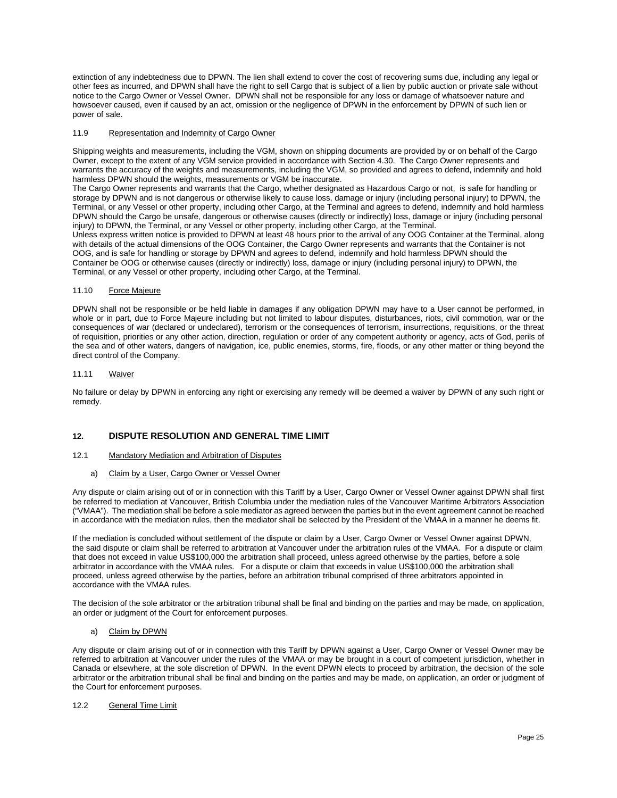extinction of any indebtedness due to DPWN. The lien shall extend to cover the cost of recovering sums due, including any legal or other fees as incurred, and DPWN shall have the right to sell Cargo that is subject of a lien by public auction or private sale without notice to the Cargo Owner or Vessel Owner. DPWN shall not be responsible for any loss or damage of whatsoever nature and howsoever caused, even if caused by an act, omission or the negligence of DPWN in the enforcement by DPWN of such lien or power of sale.

# 11.9 Representation and Indemnity of Cargo Owner

Shipping weights and measurements, including the VGM, shown on shipping documents are provided by or on behalf of the Cargo Owner, except to the extent of any VGM service provided in accordance with Section 4.30. The Cargo Owner represents and warrants the accuracy of the weights and measurements, including the VGM, so provided and agrees to defend, indemnify and hold harmless DPWN should the weights, measurements or VGM be inaccurate.

The Cargo Owner represents and warrants that the Cargo, whether designated as Hazardous Cargo or not, is safe for handling or storage by DPWN and is not dangerous or otherwise likely to cause loss, damage or injury (including personal injury) to DPWN, the Terminal, or any Vessel or other property, including other Cargo, at the Terminal and agrees to defend, indemnify and hold harmless DPWN should the Cargo be unsafe, dangerous or otherwise causes (directly or indirectly) loss, damage or injury (including personal injury) to DPWN, the Terminal, or any Vessel or other property, including other Cargo, at the Terminal.

Unless express written notice is provided to DPWN at least 48 hours prior to the arrival of any OOG Container at the Terminal, along with details of the actual dimensions of the OOG Container, the Cargo Owner represents and warrants that the Container is not OOG, and is safe for handling or storage by DPWN and agrees to defend, indemnify and hold harmless DPWN should the Container be OOG or otherwise causes (directly or indirectly) loss, damage or injury (including personal injury) to DPWN, the Terminal, or any Vessel or other property, including other Cargo, at the Terminal.

#### 11.10 Force Majeure

DPWN shall not be responsible or be held liable in damages if any obligation DPWN may have to a User cannot be performed, in whole or in part, due to Force Majeure including but not limited to labour disputes, disturbances, riots, civil commotion, war or the consequences of war (declared or undeclared), terrorism or the consequences of terrorism, insurrections, requisitions, or the threat of requisition, priorities or any other action, direction, regulation or order of any competent authority or agency, acts of God, perils of the sea and of other waters, dangers of navigation, ice, public enemies, storms, fire, floods, or any other matter or thing beyond the direct control of the Company.

#### 11.11 Waiver

No failure or delay by DPWN in enforcing any right or exercising any remedy will be deemed a waiver by DPWN of any such right or remedy.

# <span id="page-24-0"></span>**12. DISPUTE RESOLUTION AND GENERAL TIME LIMIT**

#### 12.1 Mandatory Mediation and Arbitration of Disputes

#### a) Claim by a User, Cargo Owner or Vessel Owner

Any dispute or claim arising out of or in connection with this Tariff by a User, Cargo Owner or Vessel Owner against DPWN shall first be referred to mediation at Vancouver, British Columbia under the mediation rules of the Vancouver Maritime Arbitrators Association ("VMAA"). The mediation shall be before a sole mediator as agreed between the parties but in the event agreement cannot be reached in accordance with the mediation rules, then the mediator shall be selected by the President of the VMAA in a manner he deems fit.

If the mediation is concluded without settlement of the dispute or claim by a User, Cargo Owner or Vessel Owner against DPWN, the said dispute or claim shall be referred to arbitration at Vancouver under the arbitration rules of the VMAA. For a dispute or claim that does not exceed in value US\$100,000 the arbitration shall proceed, unless agreed otherwise by the parties, before a sole arbitrator in accordance with the VMAA rules. For a dispute or claim that exceeds in value US\$100,000 the arbitration shall proceed, unless agreed otherwise by the parties, before an arbitration tribunal comprised of three arbitrators appointed in accordance with the VMAA rules.

The decision of the sole arbitrator or the arbitration tribunal shall be final and binding on the parties and may be made, on application, an order or judgment of the Court for enforcement purposes.

# a) Claim by DPWN

Any dispute or claim arising out of or in connection with this Tariff by DPWN against a User, Cargo Owner or Vessel Owner may be referred to arbitration at Vancouver under the rules of the VMAA or may be brought in a court of competent jurisdiction, whether in Canada or elsewhere, at the sole discretion of DPWN. In the event DPWN elects to proceed by arbitration, the decision of the sole arbitrator or the arbitration tribunal shall be final and binding on the parties and may be made, on application, an order or judgment of the Court for enforcement purposes.

# 12.2 General Time Limit